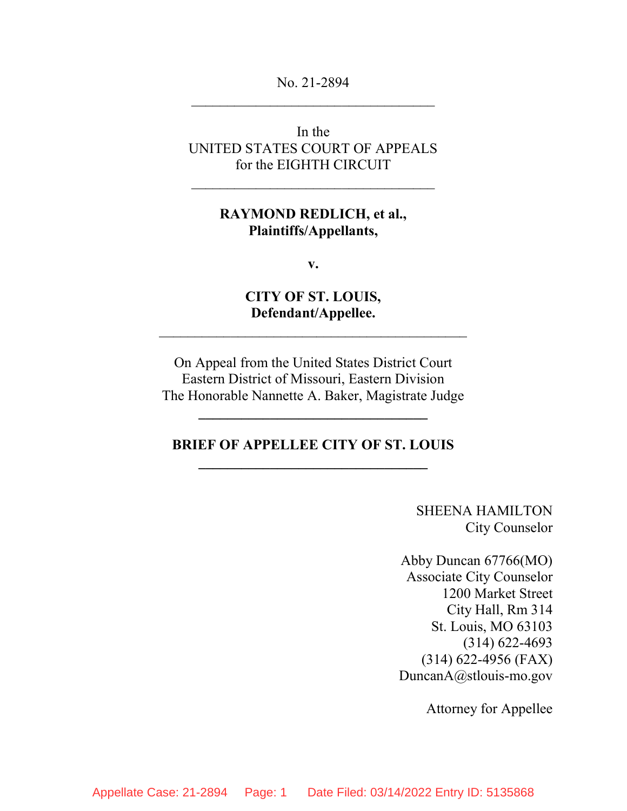No. 21-2894  $\mathcal{L}_\text{max}$  , where  $\mathcal{L}_\text{max}$  and  $\mathcal{L}_\text{max}$  and  $\mathcal{L}_\text{max}$ 

## In the UNITED STATES COURT OF APPEALS for the EIGHTH CIRCUIT

 $\mathcal{L}_\text{max}$  , and the set of the set of the set of the set of the set of the set of the set of the set of the set of the set of the set of the set of the set of the set of the set of the set of the set of the set of the

### RAYMOND REDLICH, et al., Plaintiffs/Appellants,

v.

CITY OF ST. LOUIS, Defendant/Appellee.

 $\mathcal{L}_\text{max}$  , and the set of the set of the set of the set of the set of the set of the set of the set of the set of the set of the set of the set of the set of the set of the set of the set of the set of the set of the

On Appeal from the United States District Court Eastern District of Missouri, Eastern Division The Honorable Nannette A. Baker, Magistrate Judge

### BRIEF OF APPELLEE CITY OF ST. LOUIS \_\_\_\_\_\_\_\_\_\_\_\_\_\_\_\_\_\_\_\_\_\_\_\_\_\_\_\_\_\_\_\_

SHEENA HAMILTON City Counselor

Abby Duncan 67766(MO) Associate City Counselor 1200 Market Street City Hall, Rm 314 St. Louis, MO 63103 (314) 622-4693 (314) 622-4956 (FAX) DuncanA@stlouis-mo.gov

Attorney for Appellee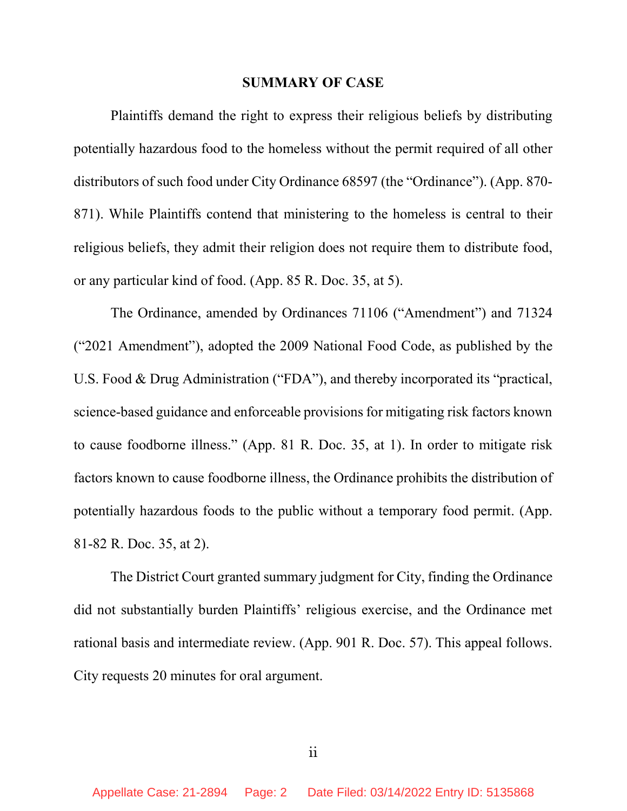#### SUMMARY OF CASE

Plaintiffs demand the right to express their religious beliefs by distributing potentially hazardous food to the homeless without the permit required of all other distributors of such food under City Ordinance 68597 (the "Ordinance"). (App. 870- 871). While Plaintiffs contend that ministering to the homeless is central to their religious beliefs, they admit their religion does not require them to distribute food, or any particular kind of food. (App. 85 R. Doc. 35, at 5).

The Ordinance, amended by Ordinances 71106 ("Amendment") and 71324 ("2021 Amendment"), adopted the 2009 National Food Code, as published by the U.S. Food & Drug Administration ("FDA"), and thereby incorporated its "practical, science-based guidance and enforceable provisions for mitigating risk factors known to cause foodborne illness." (App. 81 R. Doc. 35, at 1). In order to mitigate risk factors known to cause foodborne illness, the Ordinance prohibits the distribution of potentially hazardous foods to the public without a temporary food permit. (App. 81-82 R. Doc. 35, at 2).

The District Court granted summary judgment for City, finding the Ordinance did not substantially burden Plaintiffs' religious exercise, and the Ordinance met rational basis and intermediate review. (App. 901 R. Doc. 57). This appeal follows. City requests 20 minutes for oral argument.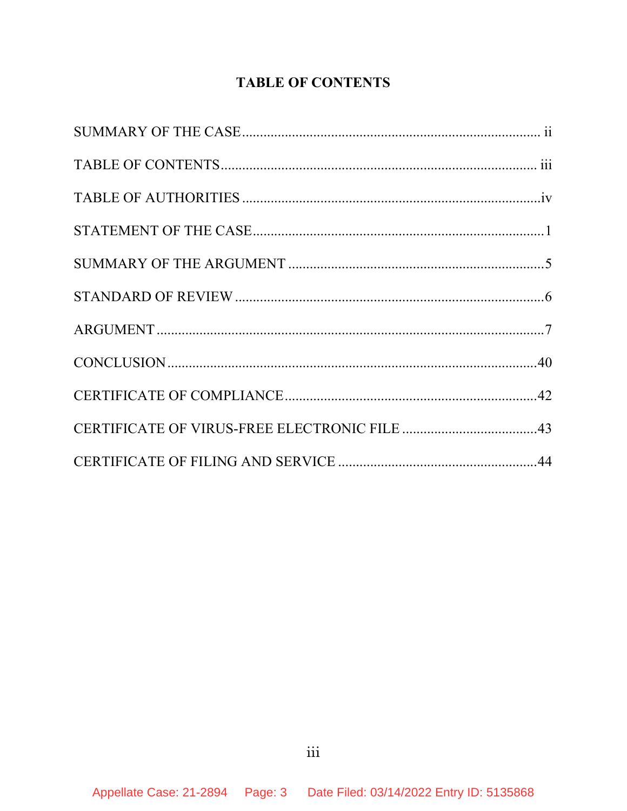# **TABLE OF CONTENTS**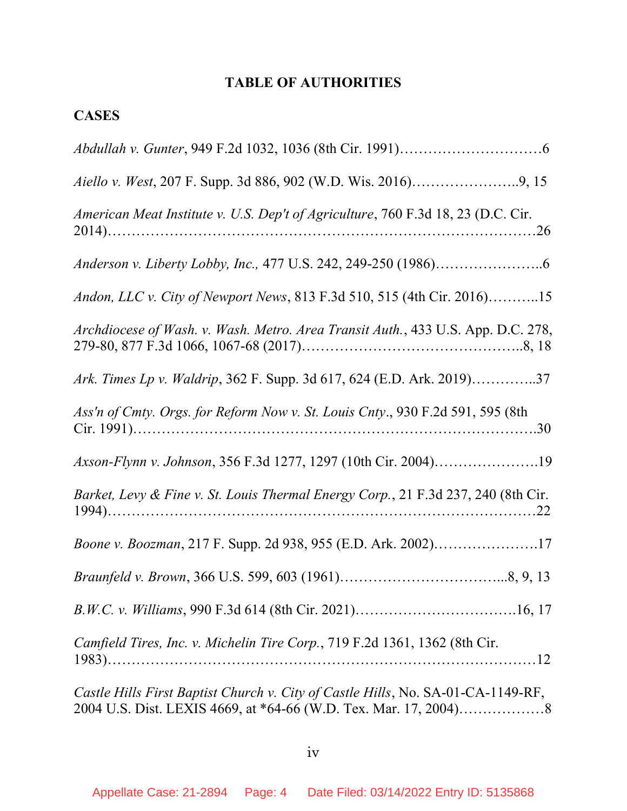# TABLE OF AUTHORITIES

# **CASES**

| American Meat Institute v. U.S. Dep't of Agriculture, 760 F.3d 18, 23 (D.C. Cir.  |
|-----------------------------------------------------------------------------------|
|                                                                                   |
| Andon, LLC v. City of Newport News, 813 F.3d 510, 515 (4th Cir. 2016)15           |
| Archdiocese of Wash. v. Wash. Metro. Area Transit Auth., 433 U.S. App. D.C. 278,  |
| Ark. Times Lp v. Waldrip, 362 F. Supp. 3d 617, 624 (E.D. Ark. 2019)37             |
| Ass'n of Cmty. Orgs. for Reform Now v. St. Louis Cnty., 930 F.2d 591, 595 (8th    |
| Axson-Flynn v. Johnson, 356 F.3d 1277, 1297 (10th Cir. 2004)19                    |
| Barket, Levy & Fine v. St. Louis Thermal Energy Corp., 21 F.3d 237, 240 (8th Cir. |
| Boone v. Boozman, 217 F. Supp. 2d 938, 955 (E.D. Ark. 2002)17                     |
|                                                                                   |
|                                                                                   |
| Camfield Tires, Inc. v. Michelin Tire Corp., 719 F.2d 1361, 1362 (8th Cir.        |
| Castle Hills First Baptist Church v. City of Castle Hills, No. SA-01-CA-1149-RF,  |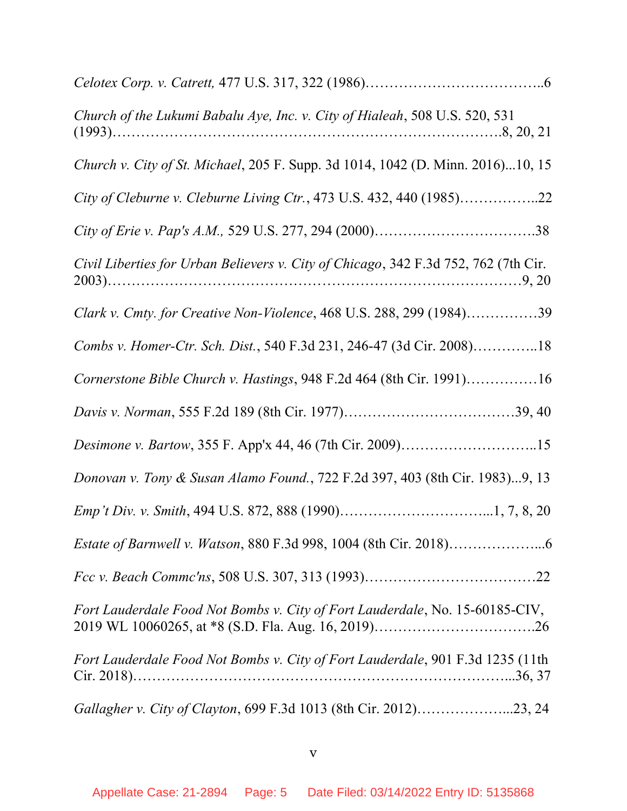| Church of the Lukumi Babalu Aye, Inc. v. City of Hialeah, 508 U.S. 520, 531         |
|-------------------------------------------------------------------------------------|
| Church v. City of St. Michael, 205 F. Supp. 3d 1014, 1042 (D. Minn. 2016)10, 15     |
| City of Cleburne v. Cleburne Living Ctr., 473 U.S. 432, 440 (1985)22                |
|                                                                                     |
| Civil Liberties for Urban Believers v. City of Chicago, 342 F.3d 752, 762 (7th Cir. |
| Clark v. Cmty. for Creative Non-Violence, 468 U.S. 288, 299 (1984)39                |
| Combs v. Homer-Ctr. Sch. Dist., 540 F.3d 231, 246-47 (3d Cir. 2008)18               |
| Cornerstone Bible Church v. Hastings, 948 F.2d 464 (8th Cir. 1991)16                |
|                                                                                     |
| Desimone v. Bartow, 355 F. App'x 44, 46 (7th Cir. 2009)15                           |
| Donovan v. Tony & Susan Alamo Found., 722 F.2d 397, 403 (8th Cir. 1983)9, 13        |
|                                                                                     |
| <i>Estate of Barnwell v. Watson, 880 F.3d 998, 1004 (8th Cir. 2018)</i>             |
|                                                                                     |
| Fort Lauderdale Food Not Bombs v. City of Fort Lauderdale, No. 15-60185-CIV,        |
| Fort Lauderdale Food Not Bombs v. City of Fort Lauderdale, 901 F.3d 1235 (11th      |
| Gallagher v. City of Clayton, 699 F.3d 1013 (8th Cir. 2012)23, 24                   |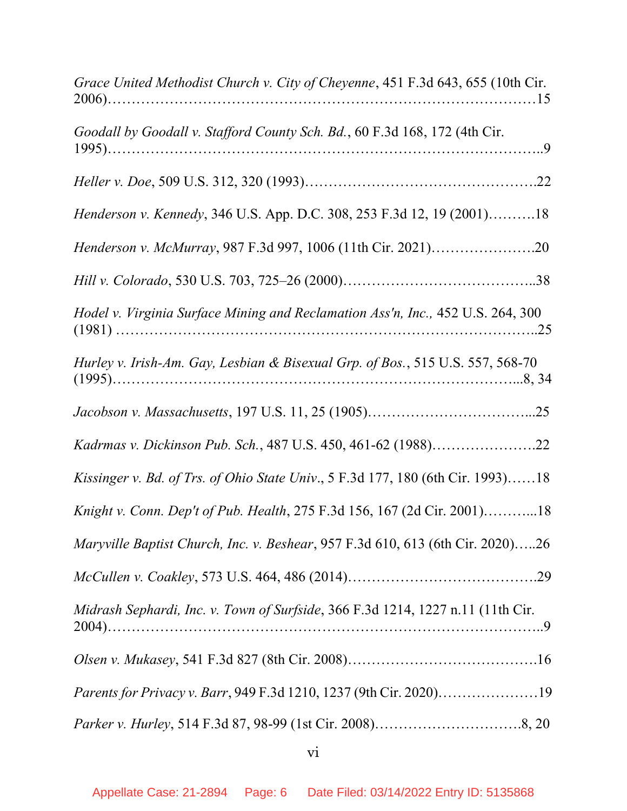| Grace United Methodist Church v. City of Cheyenne, 451 F.3d 643, 655 (10th Cir. |
|---------------------------------------------------------------------------------|
| Goodall by Goodall v. Stafford County Sch. Bd., 60 F.3d 168, 172 (4th Cir.      |
|                                                                                 |
| Henderson v. Kennedy, 346 U.S. App. D.C. 308, 253 F.3d 12, 19 (2001)18          |
| Henderson v. McMurray, 987 F.3d 997, 1006 (11th Cir. 2021)20                    |
|                                                                                 |
| Hodel v. Virginia Surface Mining and Reclamation Ass'n, Inc., 452 U.S. 264, 300 |
| Hurley v. Irish-Am. Gay, Lesbian & Bisexual Grp. of Bos., 515 U.S. 557, 568-70  |
|                                                                                 |
| Kadrmas v. Dickinson Pub. Sch., 487 U.S. 450, 461-62 (1988)22                   |
| Kissinger v. Bd. of Trs. of Ohio State Univ., 5 F.3d 177, 180 (6th Cir. 1993)18 |
| Knight v. Conn. Dep't of Pub. Health, 275 F.3d 156, 167 (2d Cir. 2001)18        |
| Maryville Baptist Church, Inc. v. Beshear, 957 F.3d 610, 613 (6th Cir. 2020)26  |
|                                                                                 |
| Midrash Sephardi, Inc. v. Town of Surfside, 366 F.3d 1214, 1227 n.11 (11th Cir. |
|                                                                                 |
| Parents for Privacy v. Barr, 949 F.3d 1210, 1237 (9th Cir. 2020)19              |
|                                                                                 |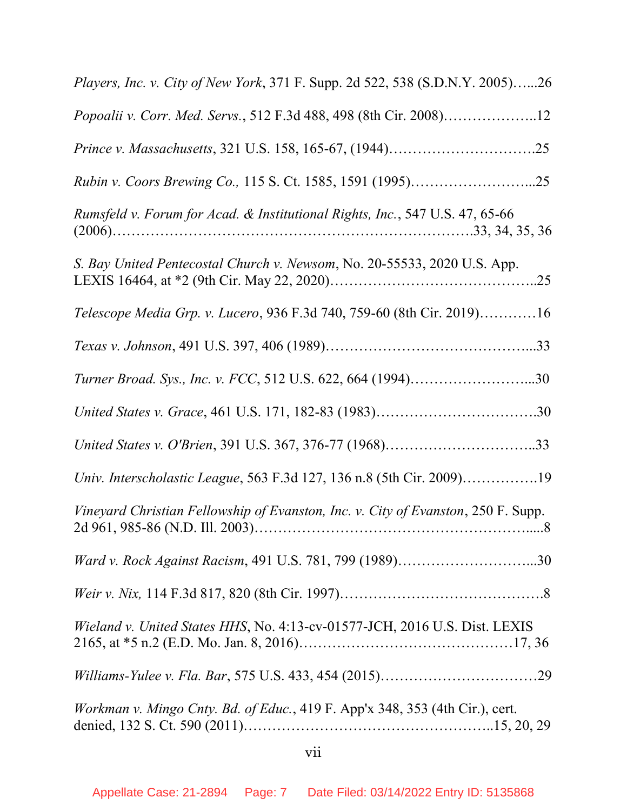| Players, Inc. v. City of New York, 371 F. Supp. 2d 522, 538 (S.D.N.Y. 2005)26     |
|-----------------------------------------------------------------------------------|
| Popoalii v. Corr. Med. Servs., 512 F.3d 488, 498 (8th Cir. 2008)12                |
|                                                                                   |
| Rubin v. Coors Brewing Co., 115 S. Ct. 1585, 1591 (1995)25                        |
| Rumsfeld v. Forum for Acad. & Institutional Rights, Inc., 547 U.S. 47, 65-66      |
| S. Bay United Pentecostal Church v. Newsom, No. 20-55533, 2020 U.S. App.          |
| Telescope Media Grp. v. Lucero, 936 F.3d 740, 759-60 (8th Cir. 2019)16            |
|                                                                                   |
| Turner Broad. Sys., Inc. v. FCC, 512 U.S. 622, 664 (1994)30                       |
| United States v. Grace, 461 U.S. 171, 182-83 (1983)30                             |
|                                                                                   |
| Univ. Interscholastic League, 563 F.3d 127, 136 n.8 (5th Cir. 2009)19             |
| Vineyard Christian Fellowship of Evanston, Inc. v. City of Evanston, 250 F. Supp. |
| Ward v. Rock Against Racism, 491 U.S. 781, 799 (1989)30                           |
|                                                                                   |
| Wieland v. United States HHS, No. 4:13-cv-01577-JCH, 2016 U.S. Dist. LEXIS        |
|                                                                                   |
| Workman v. Mingo Cnty. Bd. of Educ., 419 F. App'x 348, 353 (4th Cir.), cert.      |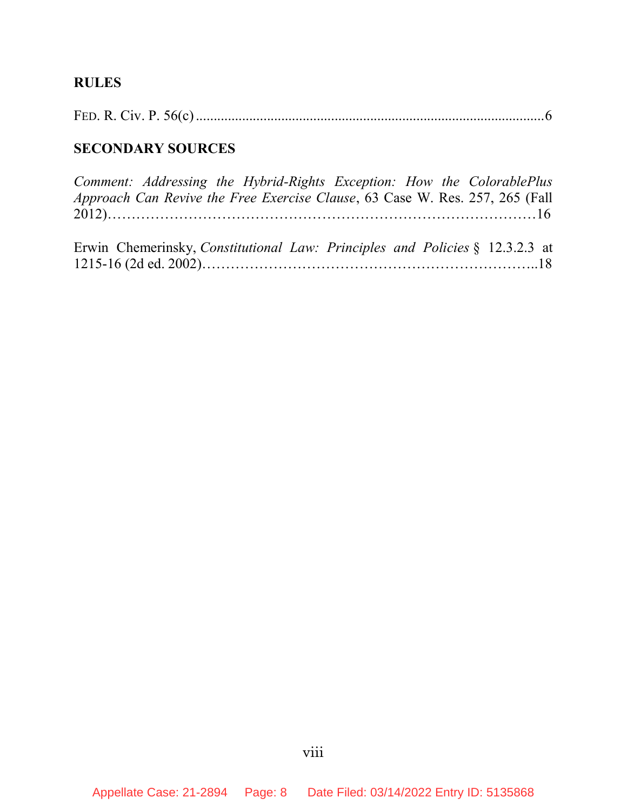# RULES

# SECONDARY SOURCES

|  |  |  | Comment: Addressing the Hybrid-Rights Exception: How the ColorablePlus       |  |
|--|--|--|------------------------------------------------------------------------------|--|
|  |  |  | Approach Can Revive the Free Exercise Clause, 63 Case W. Res. 257, 265 (Fall |  |
|  |  |  |                                                                              |  |
|  |  |  |                                                                              |  |
|  |  |  | Erwin Chemerinsky, Constitutional Law: Principles and Policies § 12.3.2.3 at |  |

|--|--|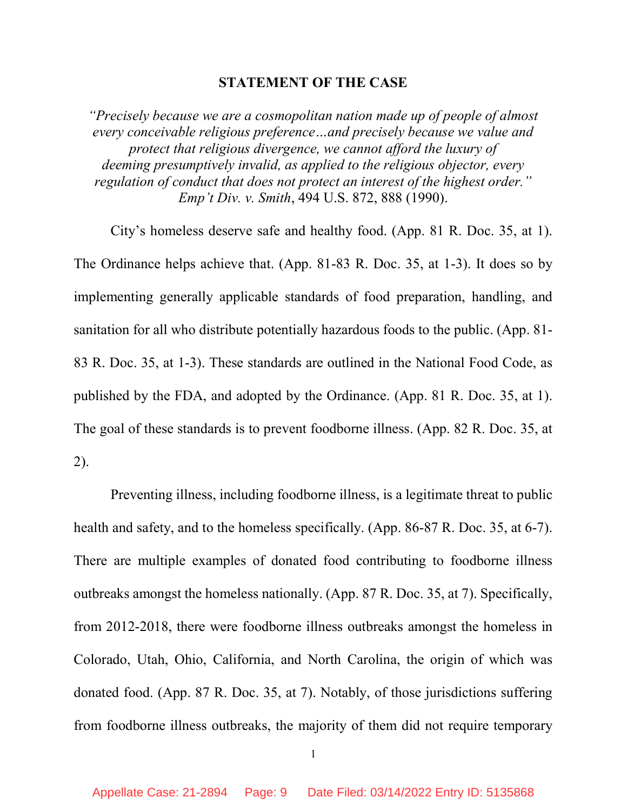#### STATEMENT OF THE CASE

"Precisely because we are a cosmopolitan nation made up of people of almost every conceivable religious preference…and precisely because we value and protect that religious divergence, we cannot afford the luxury of deeming presumptively invalid, as applied to the religious objector, every regulation of conduct that does not protect an interest of the highest order." Emp't Div. v. Smith, 494 U.S. 872, 888 (1990).

City's homeless deserve safe and healthy food. (App. 81 R. Doc. 35, at 1). The Ordinance helps achieve that. (App. 81-83 R. Doc. 35, at 1-3). It does so by implementing generally applicable standards of food preparation, handling, and sanitation for all who distribute potentially hazardous foods to the public. (App. 81- 83 R. Doc. 35, at 1-3). These standards are outlined in the National Food Code, as published by the FDA, and adopted by the Ordinance. (App. 81 R. Doc. 35, at 1). The goal of these standards is to prevent foodborne illness. (App. 82 R. Doc. 35, at 2).

Preventing illness, including foodborne illness, is a legitimate threat to public health and safety, and to the homeless specifically. (App. 86-87 R. Doc. 35, at 6-7). There are multiple examples of donated food contributing to foodborne illness outbreaks amongst the homeless nationally. (App. 87 R. Doc. 35, at 7). Specifically, from 2012-2018, there were foodborne illness outbreaks amongst the homeless in Colorado, Utah, Ohio, California, and North Carolina, the origin of which was donated food. (App. 87 R. Doc. 35, at 7). Notably, of those jurisdictions suffering from foodborne illness outbreaks, the majority of them did not require temporary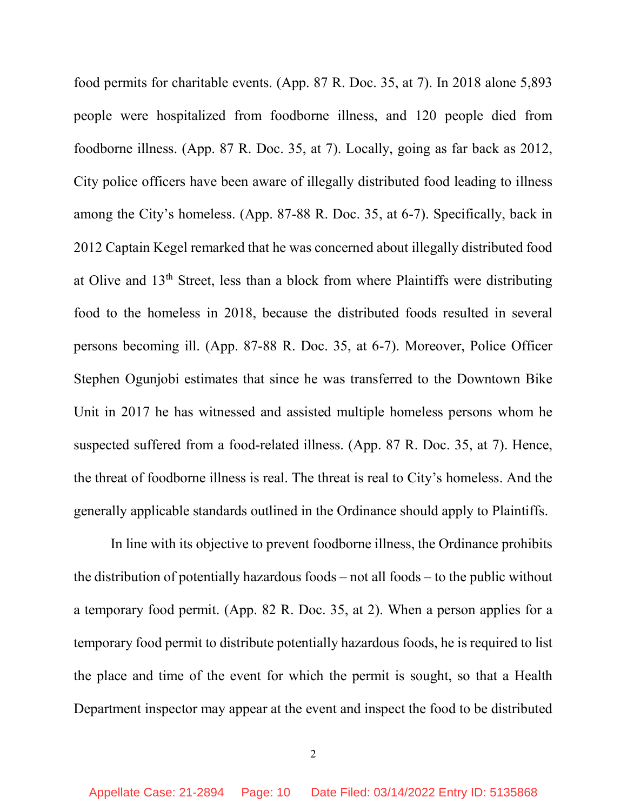food permits for charitable events. (App. 87 R. Doc. 35, at 7). In 2018 alone 5,893 people were hospitalized from foodborne illness, and 120 people died from foodborne illness. (App. 87 R. Doc. 35, at 7). Locally, going as far back as 2012, City police officers have been aware of illegally distributed food leading to illness among the City's homeless. (App. 87-88 R. Doc. 35, at 6-7). Specifically, back in 2012 Captain Kegel remarked that he was concerned about illegally distributed food at Olive and 13<sup>th</sup> Street, less than a block from where Plaintiffs were distributing food to the homeless in 2018, because the distributed foods resulted in several persons becoming ill. (App. 87-88 R. Doc. 35, at 6-7). Moreover, Police Officer Stephen Ogunjobi estimates that since he was transferred to the Downtown Bike Unit in 2017 he has witnessed and assisted multiple homeless persons whom he suspected suffered from a food-related illness. (App. 87 R. Doc. 35, at 7). Hence, the threat of foodborne illness is real. The threat is real to City's homeless. And the generally applicable standards outlined in the Ordinance should apply to Plaintiffs.

In line with its objective to prevent foodborne illness, the Ordinance prohibits the distribution of potentially hazardous foods – not all foods – to the public without a temporary food permit. (App. 82 R. Doc. 35, at 2). When a person applies for a temporary food permit to distribute potentially hazardous foods, he is required to list the place and time of the event for which the permit is sought, so that a Health Department inspector may appear at the event and inspect the food to be distributed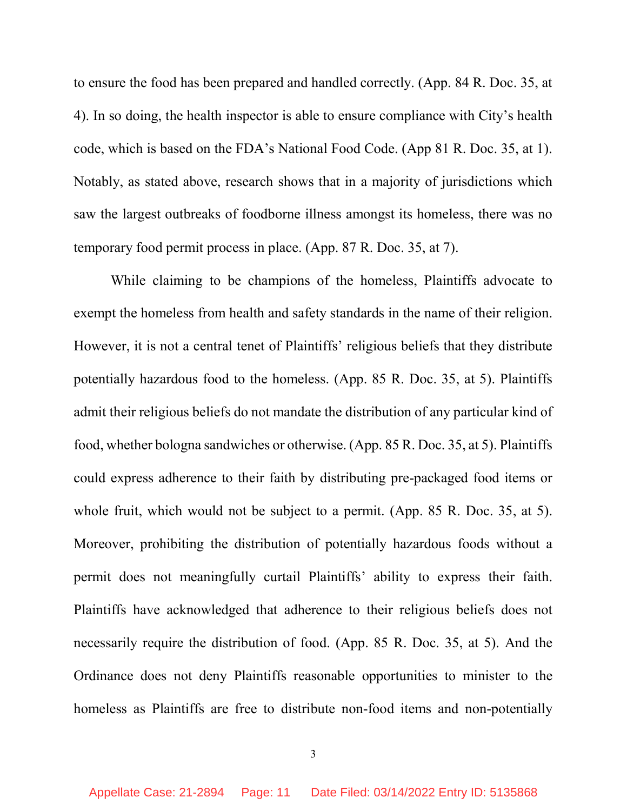to ensure the food has been prepared and handled correctly. (App. 84 R. Doc. 35, at 4). In so doing, the health inspector is able to ensure compliance with City's health code, which is based on the FDA's National Food Code. (App 81 R. Doc. 35, at 1). Notably, as stated above, research shows that in a majority of jurisdictions which saw the largest outbreaks of foodborne illness amongst its homeless, there was no temporary food permit process in place. (App. 87 R. Doc. 35, at 7).

While claiming to be champions of the homeless, Plaintiffs advocate to exempt the homeless from health and safety standards in the name of their religion. However, it is not a central tenet of Plaintiffs' religious beliefs that they distribute potentially hazardous food to the homeless. (App. 85 R. Doc. 35, at 5). Plaintiffs admit their religious beliefs do not mandate the distribution of any particular kind of food, whether bologna sandwiches or otherwise. (App. 85 R. Doc. 35, at 5). Plaintiffs could express adherence to their faith by distributing pre-packaged food items or whole fruit, which would not be subject to a permit. (App. 85 R. Doc. 35, at 5). Moreover, prohibiting the distribution of potentially hazardous foods without a permit does not meaningfully curtail Plaintiffs' ability to express their faith. Plaintiffs have acknowledged that adherence to their religious beliefs does not necessarily require the distribution of food. (App. 85 R. Doc. 35, at 5). And the Ordinance does not deny Plaintiffs reasonable opportunities to minister to the homeless as Plaintiffs are free to distribute non-food items and non-potentially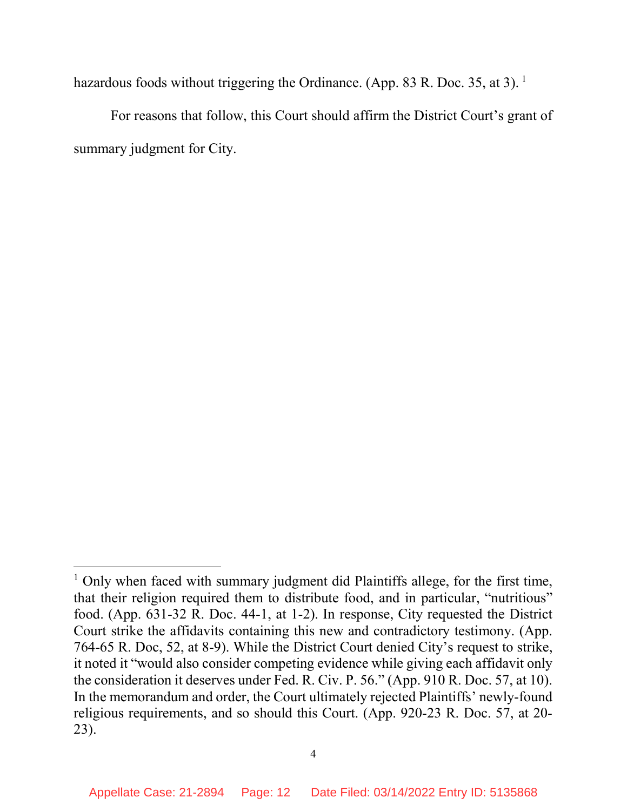hazardous foods without triggering the Ordinance. (App. 83 R. Doc. 35, at 3).<sup>1</sup>

For reasons that follow, this Court should affirm the District Court's grant of summary judgment for City.

 $\overline{a}$ 

<sup>&</sup>lt;sup>1</sup> Only when faced with summary judgment did Plaintiffs allege, for the first time, that their religion required them to distribute food, and in particular, "nutritious" food. (App. 631-32 R. Doc. 44-1, at 1-2). In response, City requested the District Court strike the affidavits containing this new and contradictory testimony. (App. 764-65 R. Doc, 52, at 8-9). While the District Court denied City's request to strike, it noted it "would also consider competing evidence while giving each affidavit only the consideration it deserves under Fed. R. Civ. P. 56." (App. 910 R. Doc. 57, at 10). In the memorandum and order, the Court ultimately rejected Plaintiffs' newly-found religious requirements, and so should this Court. (App. 920-23 R. Doc. 57, at 20- 23).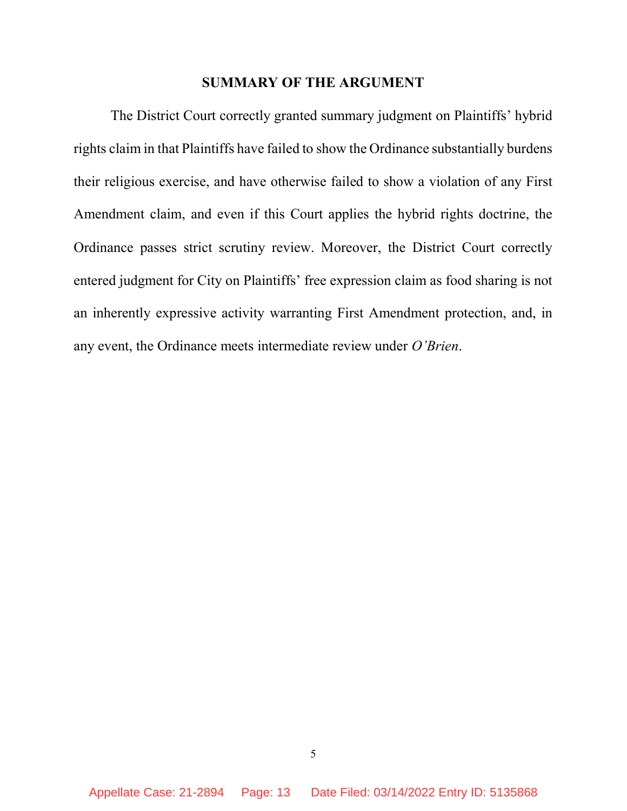#### SUMMARY OF THE ARGUMENT

The District Court correctly granted summary judgment on Plaintiffs' hybrid rights claim in that Plaintiffs have failed to show the Ordinance substantially burdens their religious exercise, and have otherwise failed to show a violation of any First Amendment claim, and even if this Court applies the hybrid rights doctrine, the Ordinance passes strict scrutiny review. Moreover, the District Court correctly entered judgment for City on Plaintiffs' free expression claim as food sharing is not an inherently expressive activity warranting First Amendment protection, and, in any event, the Ordinance meets intermediate review under O'Brien.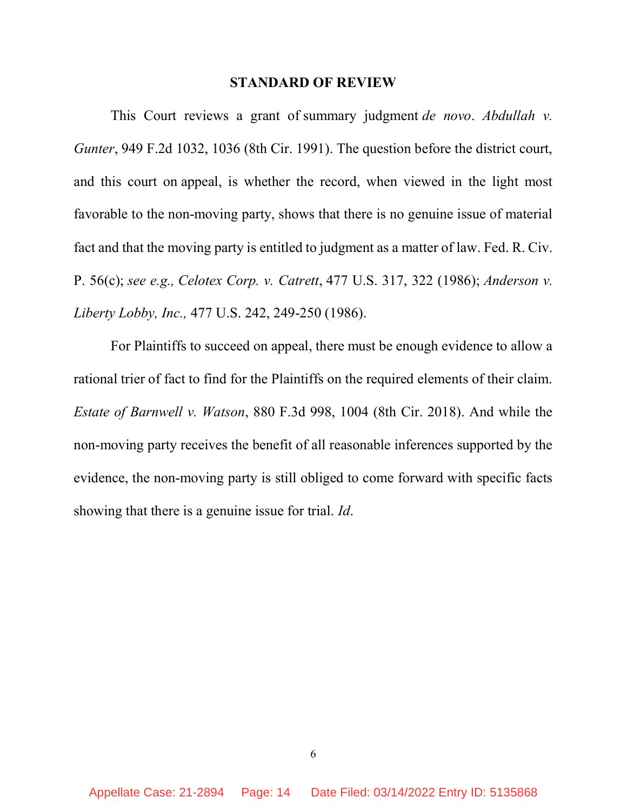#### STANDARD OF REVIEW

This Court reviews a grant of summary judgment *de novo. Abdullah v.* Gunter, 949 F.2d 1032, 1036 (8th Cir. 1991). The question before the district court, and this court on appeal, is whether the record, when viewed in the light most favorable to the non-moving party, shows that there is no genuine issue of material fact and that the moving party is entitled to judgment as a matter of law. Fed. R. Civ. P. 56(c); see e.g., Celotex Corp. v. Catrett, 477 U.S. 317, 322 (1986); Anderson v. Liberty Lobby, Inc., 477 U.S. 242, 249-250 (1986).

For Plaintiffs to succeed on appeal, there must be enough evidence to allow a rational trier of fact to find for the Plaintiffs on the required elements of their claim. Estate of Barnwell v. Watson, 880 F.3d 998, 1004 (8th Cir. 2018). And while the non-moving party receives the benefit of all reasonable inferences supported by the evidence, the non-moving party is still obliged to come forward with specific facts showing that there is a genuine issue for trial. *Id*.

6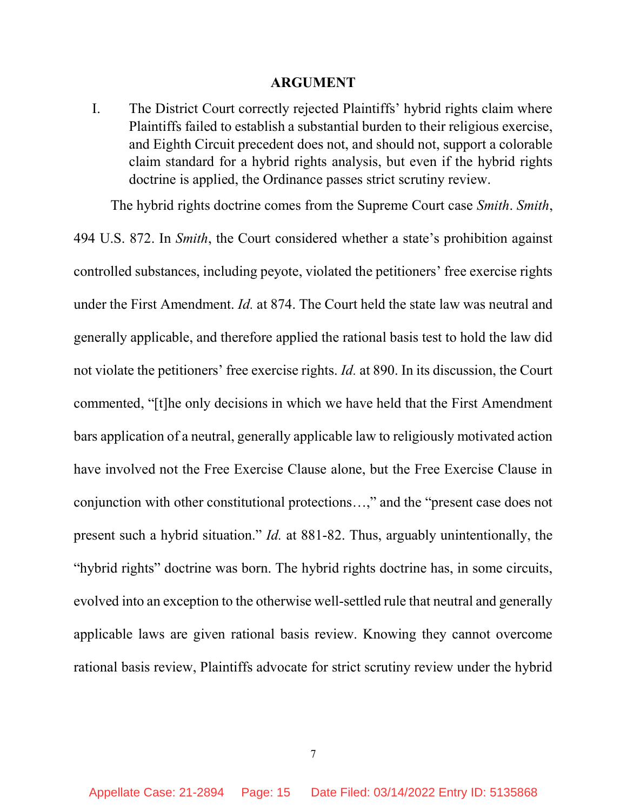#### ARGUMENT

I. The District Court correctly rejected Plaintiffs' hybrid rights claim where Plaintiffs failed to establish a substantial burden to their religious exercise, and Eighth Circuit precedent does not, and should not, support a colorable claim standard for a hybrid rights analysis, but even if the hybrid rights doctrine is applied, the Ordinance passes strict scrutiny review.

The hybrid rights doctrine comes from the Supreme Court case *Smith. Smith*,

494 U.S. 872. In Smith, the Court considered whether a state's prohibition against controlled substances, including peyote, violated the petitioners' free exercise rights under the First Amendment. Id. at 874. The Court held the state law was neutral and generally applicable, and therefore applied the rational basis test to hold the law did not violate the petitioners' free exercise rights. Id. at 890. In its discussion, the Court commented, "[t]he only decisions in which we have held that the First Amendment bars application of a neutral, generally applicable law to religiously motivated action have involved not the Free Exercise Clause alone, but the Free Exercise Clause in conjunction with other constitutional protections…," and the "present case does not present such a hybrid situation." Id. at 881-82. Thus, arguably unintentionally, the "hybrid rights" doctrine was born. The hybrid rights doctrine has, in some circuits, evolved into an exception to the otherwise well-settled rule that neutral and generally applicable laws are given rational basis review. Knowing they cannot overcome rational basis review, Plaintiffs advocate for strict scrutiny review under the hybrid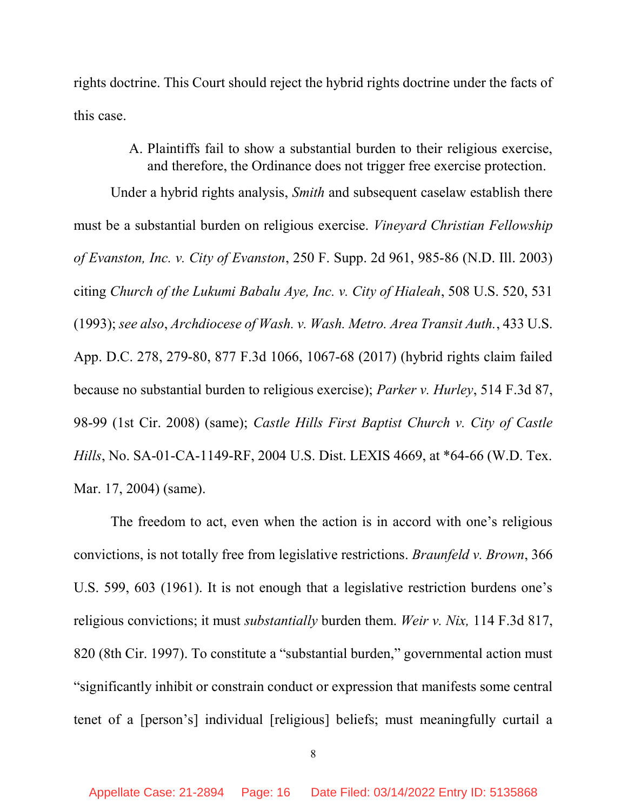rights doctrine. This Court should reject the hybrid rights doctrine under the facts of this case.

> A. Plaintiffs fail to show a substantial burden to their religious exercise, and therefore, the Ordinance does not trigger free exercise protection.

Under a hybrid rights analysis, Smith and subsequent caselaw establish there must be a substantial burden on religious exercise. Vineyard Christian Fellowship of Evanston, Inc. v. City of Evanston, 250 F. Supp. 2d 961, 985-86 (N.D. Ill. 2003) citing Church of the Lukumi Babalu Aye, Inc. v. City of Hialeah, 508 U.S. 520, 531 (1993); see also, Archdiocese of Wash. v. Wash. Metro. Area Transit Auth., 433 U.S. App. D.C. 278, 279-80, 877 F.3d 1066, 1067-68 (2017) (hybrid rights claim failed because no substantial burden to religious exercise); Parker v. Hurley, 514 F.3d 87, 98-99 (1st Cir. 2008) (same); Castle Hills First Baptist Church v. City of Castle Hills, No. SA-01-CA-1149-RF, 2004 U.S. Dist. LEXIS 4669, at \*64-66 (W.D. Tex. Mar. 17, 2004) (same).

The freedom to act, even when the action is in accord with one's religious convictions, is not totally free from legislative restrictions. Braunfeld v. Brown, 366 U.S. 599, 603 (1961). It is not enough that a legislative restriction burdens one's religious convictions; it must *substantially* burden them. Weir v. Nix, 114 F.3d 817, 820 (8th Cir. 1997). To constitute a "substantial burden," governmental action must "significantly inhibit or constrain conduct or expression that manifests some central tenet of a [person's] individual [religious] beliefs; must meaningfully curtail a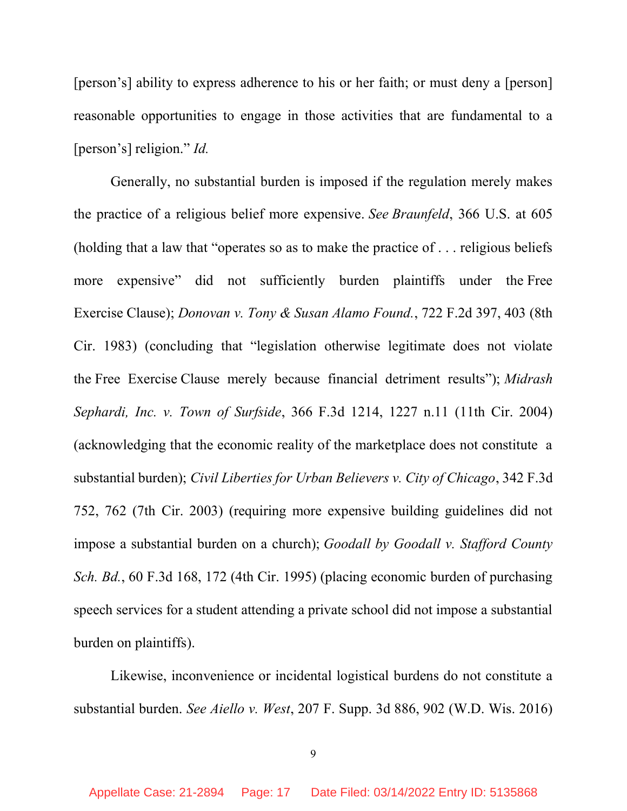[person's] ability to express adherence to his or her faith; or must deny a [person] reasonable opportunities to engage in those activities that are fundamental to a [person's] religion." *Id.* 

Generally, no substantial burden is imposed if the regulation merely makes the practice of a religious belief more expensive. See Braunfeld, 366 U.S. at 605 (holding that a law that "operates so as to make the practice of . . . religious beliefs more expensive" did not sufficiently burden plaintiffs under the Free Exercise Clause); Donovan v. Tony & Susan Alamo Found., 722 F.2d 397, 403 (8th Cir. 1983) (concluding that "legislation otherwise legitimate does not violate the Free Exercise Clause merely because financial detriment results"); Midrash Sephardi, Inc. v. Town of Surfside, 366 F.3d 1214, 1227 n.11 (11th Cir. 2004) (acknowledging that the economic reality of the marketplace does not constitute a substantial burden); Civil Liberties for Urban Believers v. City of Chicago, 342 F.3d 752, 762 (7th Cir. 2003) (requiring more expensive building guidelines did not impose a substantial burden on a church); Goodall by Goodall v. Stafford County Sch. Bd., 60 F.3d 168, 172 (4th Cir. 1995) (placing economic burden of purchasing speech services for a student attending a private school did not impose a substantial burden on plaintiffs).

Likewise, inconvenience or incidental logistical burdens do not constitute a substantial burden. See Aiello v. West, 207 F. Supp. 3d 886, 902 (W.D. Wis. 2016)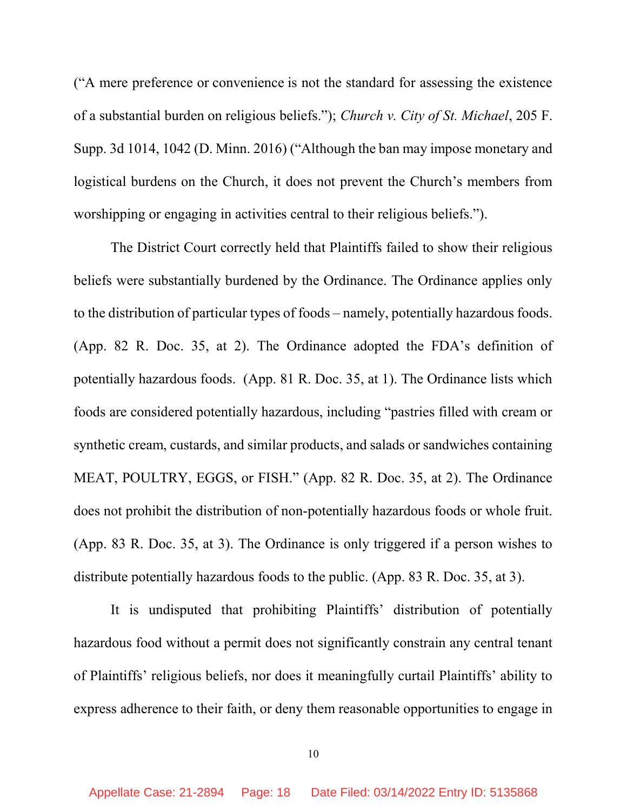("A mere preference or convenience is not the standard for assessing the existence of a substantial burden on religious beliefs."); Church v. City of St. Michael, 205 F. Supp. 3d 1014, 1042 (D. Minn. 2016) ("Although the ban may impose monetary and logistical burdens on the Church, it does not prevent the Church's members from worshipping or engaging in activities central to their religious beliefs.").

The District Court correctly held that Plaintiffs failed to show their religious beliefs were substantially burdened by the Ordinance. The Ordinance applies only to the distribution of particular types of foods – namely, potentially hazardous foods. (App. 82 R. Doc. 35, at 2). The Ordinance adopted the FDA's definition of potentially hazardous foods. (App. 81 R. Doc. 35, at 1). The Ordinance lists which foods are considered potentially hazardous, including "pastries filled with cream or synthetic cream, custards, and similar products, and salads or sandwiches containing MEAT, POULTRY, EGGS, or FISH." (App. 82 R. Doc. 35, at 2). The Ordinance does not prohibit the distribution of non-potentially hazardous foods or whole fruit. (App. 83 R. Doc. 35, at 3). The Ordinance is only triggered if a person wishes to distribute potentially hazardous foods to the public. (App. 83 R. Doc. 35, at 3).

It is undisputed that prohibiting Plaintiffs' distribution of potentially hazardous food without a permit does not significantly constrain any central tenant of Plaintiffs' religious beliefs, nor does it meaningfully curtail Plaintiffs' ability to express adherence to their faith, or deny them reasonable opportunities to engage in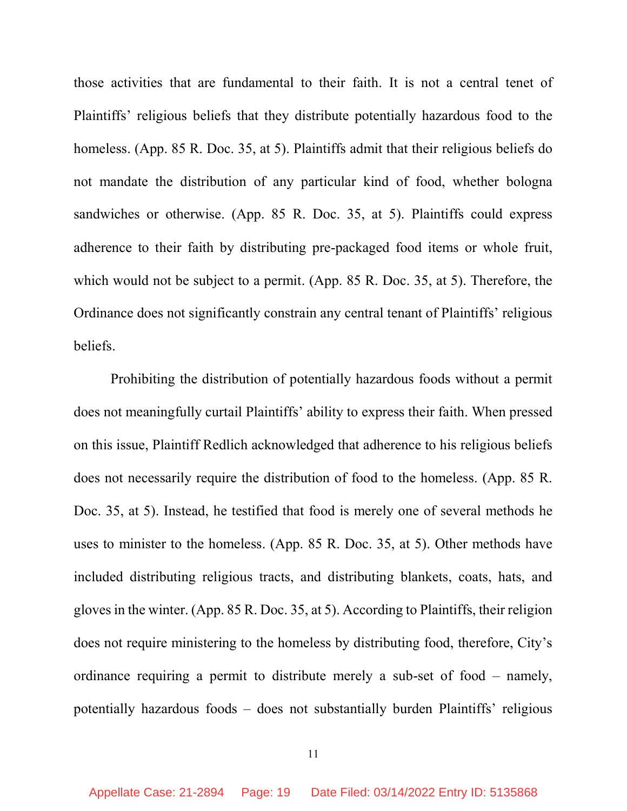those activities that are fundamental to their faith. It is not a central tenet of Plaintiffs' religious beliefs that they distribute potentially hazardous food to the homeless. (App. 85 R. Doc. 35, at 5). Plaintiffs admit that their religious beliefs do not mandate the distribution of any particular kind of food, whether bologna sandwiches or otherwise. (App. 85 R. Doc. 35, at 5). Plaintiffs could express adherence to their faith by distributing pre-packaged food items or whole fruit, which would not be subject to a permit. (App. 85 R. Doc. 35, at 5). Therefore, the Ordinance does not significantly constrain any central tenant of Plaintiffs' religious beliefs.

Prohibiting the distribution of potentially hazardous foods without a permit does not meaningfully curtail Plaintiffs' ability to express their faith. When pressed on this issue, Plaintiff Redlich acknowledged that adherence to his religious beliefs does not necessarily require the distribution of food to the homeless. (App. 85 R. Doc. 35, at 5). Instead, he testified that food is merely one of several methods he uses to minister to the homeless. (App. 85 R. Doc. 35, at 5). Other methods have included distributing religious tracts, and distributing blankets, coats, hats, and gloves in the winter. (App. 85 R. Doc. 35, at 5). According to Plaintiffs, their religion does not require ministering to the homeless by distributing food, therefore, City's ordinance requiring a permit to distribute merely a sub-set of food – namely, potentially hazardous foods – does not substantially burden Plaintiffs' religious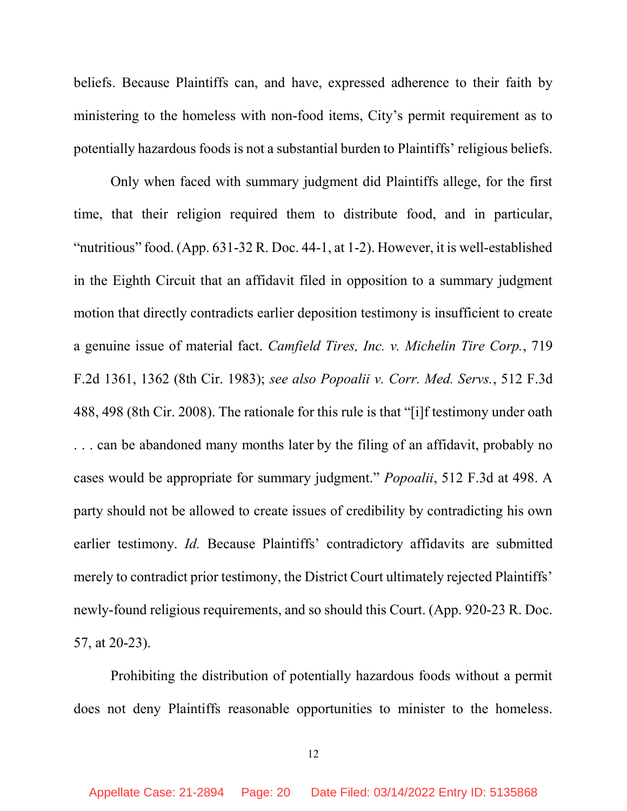beliefs. Because Plaintiffs can, and have, expressed adherence to their faith by ministering to the homeless with non-food items, City's permit requirement as to potentially hazardous foods is not a substantial burden to Plaintiffs' religious beliefs.

Only when faced with summary judgment did Plaintiffs allege, for the first time, that their religion required them to distribute food, and in particular, "nutritious" food. (App. 631-32 R. Doc. 44-1, at 1-2). However, it is well-established in the Eighth Circuit that an affidavit filed in opposition to a summary judgment motion that directly contradicts earlier deposition testimony is insufficient to create a genuine issue of material fact. Camfield Tires, Inc. v. Michelin Tire Corp., 719 F.2d 1361, 1362 (8th Cir. 1983); see also Popoalii v. Corr. Med. Servs., 512 F.3d 488, 498 (8th Cir. 2008). The rationale for this rule is that "[i]f testimony under oath . . . can be abandoned many months later by the filing of an affidavit, probably no cases would be appropriate for summary judgment." Popoalii, 512 F.3d at 498. A party should not be allowed to create issues of credibility by contradicting his own earlier testimony. Id. Because Plaintiffs' contradictory affidavits are submitted merely to contradict prior testimony, the District Court ultimately rejected Plaintiffs' newly-found religious requirements, and so should this Court. (App. 920-23 R. Doc. 57, at 20-23).

Prohibiting the distribution of potentially hazardous foods without a permit does not deny Plaintiffs reasonable opportunities to minister to the homeless.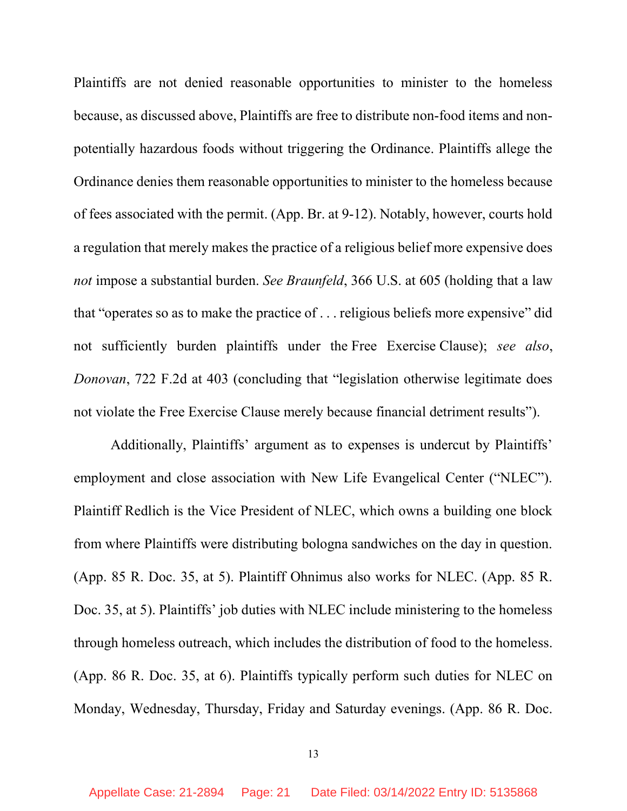Plaintiffs are not denied reasonable opportunities to minister to the homeless because, as discussed above, Plaintiffs are free to distribute non-food items and nonpotentially hazardous foods without triggering the Ordinance. Plaintiffs allege the Ordinance denies them reasonable opportunities to minister to the homeless because of fees associated with the permit. (App. Br. at 9-12). Notably, however, courts hold a regulation that merely makes the practice of a religious belief more expensive does not impose a substantial burden. See Braunfeld, 366 U.S. at 605 (holding that a law that "operates so as to make the practice of . . . religious beliefs more expensive" did not sufficiently burden plaintiffs under the Free Exercise Clause); see also, Donovan, 722 F.2d at 403 (concluding that "legislation otherwise legitimate does not violate the Free Exercise Clause merely because financial detriment results").

Additionally, Plaintiffs' argument as to expenses is undercut by Plaintiffs' employment and close association with New Life Evangelical Center ("NLEC"). Plaintiff Redlich is the Vice President of NLEC, which owns a building one block from where Plaintiffs were distributing bologna sandwiches on the day in question. (App. 85 R. Doc. 35, at 5). Plaintiff Ohnimus also works for NLEC. (App. 85 R. Doc. 35, at 5). Plaintiffs' job duties with NLEC include ministering to the homeless through homeless outreach, which includes the distribution of food to the homeless. (App. 86 R. Doc. 35, at 6). Plaintiffs typically perform such duties for NLEC on Monday, Wednesday, Thursday, Friday and Saturday evenings. (App. 86 R. Doc.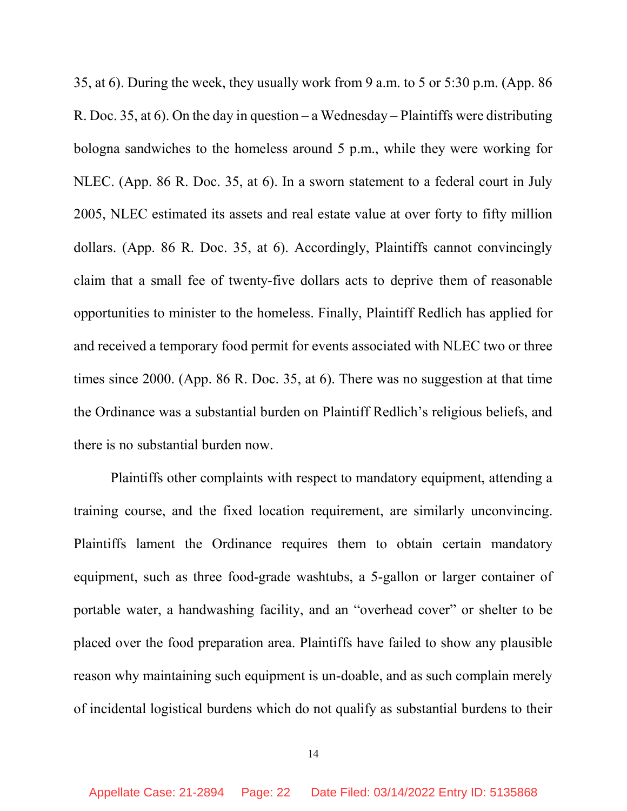35, at 6). During the week, they usually work from 9 a.m. to 5 or 5:30 p.m. (App. 86 R. Doc. 35, at 6). On the day in question – a Wednesday – Plaintiffs were distributing bologna sandwiches to the homeless around 5 p.m., while they were working for NLEC. (App. 86 R. Doc. 35, at 6). In a sworn statement to a federal court in July 2005, NLEC estimated its assets and real estate value at over forty to fifty million dollars. (App. 86 R. Doc. 35, at 6). Accordingly, Plaintiffs cannot convincingly claim that a small fee of twenty-five dollars acts to deprive them of reasonable opportunities to minister to the homeless. Finally, Plaintiff Redlich has applied for and received a temporary food permit for events associated with NLEC two or three times since 2000. (App. 86 R. Doc. 35, at 6). There was no suggestion at that time the Ordinance was a substantial burden on Plaintiff Redlich's religious beliefs, and there is no substantial burden now.

Plaintiffs other complaints with respect to mandatory equipment, attending a training course, and the fixed location requirement, are similarly unconvincing. Plaintiffs lament the Ordinance requires them to obtain certain mandatory equipment, such as three food-grade washtubs, a 5-gallon or larger container of portable water, a handwashing facility, and an "overhead cover" or shelter to be placed over the food preparation area. Plaintiffs have failed to show any plausible reason why maintaining such equipment is un-doable, and as such complain merely of incidental logistical burdens which do not qualify as substantial burdens to their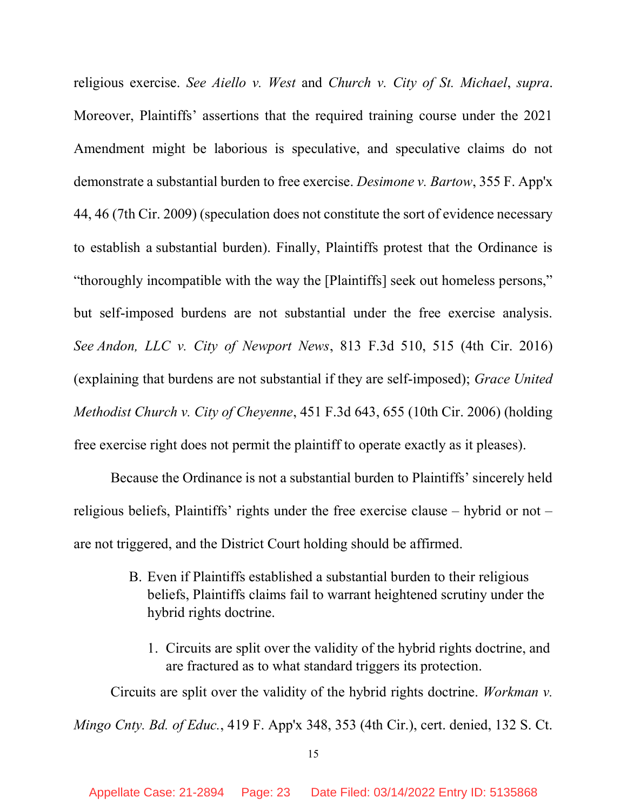religious exercise. See Aiello v. West and Church v. City of St. Michael, supra. Moreover, Plaintiffs' assertions that the required training course under the 2021 Amendment might be laborious is speculative, and speculative claims do not demonstrate a substantial burden to free exercise. Desimone v. Bartow, 355 F. App'x 44, 46 (7th Cir. 2009) (speculation does not constitute the sort of evidence necessary to establish a substantial burden). Finally, Plaintiffs protest that the Ordinance is "thoroughly incompatible with the way the [Plaintiffs] seek out homeless persons," but self-imposed burdens are not substantial under the free exercise analysis. See Andon, LLC v. City of Newport News, 813 F.3d 510, 515 (4th Cir. 2016) (explaining that burdens are not substantial if they are self-imposed); Grace United Methodist Church v. City of Cheyenne, 451 F.3d 643, 655 (10th Cir. 2006) (holding free exercise right does not permit the plaintiff to operate exactly as it pleases).

Because the Ordinance is not a substantial burden to Plaintiffs' sincerely held religious beliefs, Plaintiffs' rights under the free exercise clause – hybrid or not – are not triggered, and the District Court holding should be affirmed.

- B. Even if Plaintiffs established a substantial burden to their religious beliefs, Plaintiffs claims fail to warrant heightened scrutiny under the hybrid rights doctrine.
	- 1. Circuits are split over the validity of the hybrid rights doctrine, and are fractured as to what standard triggers its protection.

Circuits are split over the validity of the hybrid rights doctrine. Workman v. Mingo Cnty. Bd. of Educ., 419 F. App'x 348, 353 (4th Cir.), cert. denied, 132 S. Ct.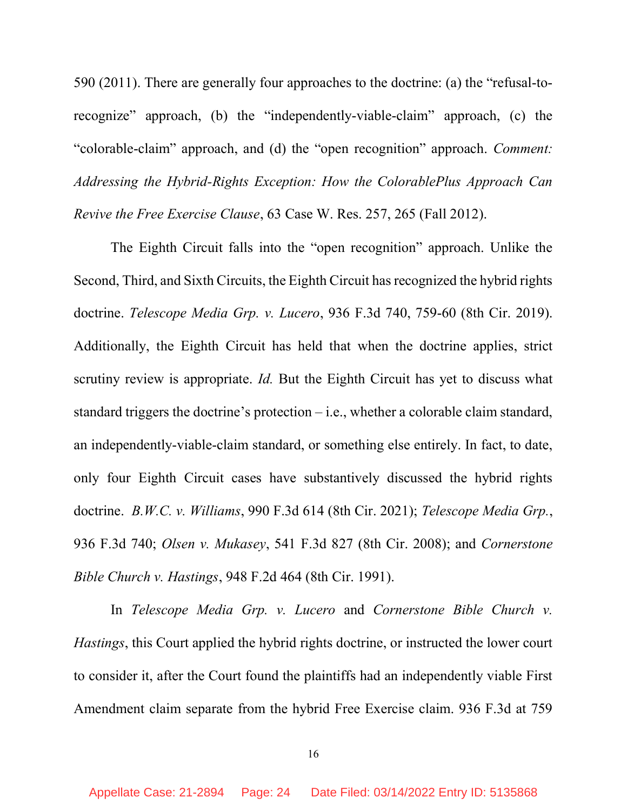590 (2011). There are generally four approaches to the doctrine: (a) the "refusal-torecognize" approach, (b) the "independently-viable-claim" approach, (c) the "colorable-claim" approach, and (d) the "open recognition" approach. Comment: Addressing the Hybrid-Rights Exception: How the ColorablePlus Approach Can Revive the Free Exercise Clause, 63 Case W. Res. 257, 265 (Fall 2012).

The Eighth Circuit falls into the "open recognition" approach. Unlike the Second, Third, and Sixth Circuits, the Eighth Circuit has recognized the hybrid rights doctrine. Telescope Media Grp. v. Lucero, 936 F.3d 740, 759-60 (8th Cir. 2019). Additionally, the Eighth Circuit has held that when the doctrine applies, strict scrutiny review is appropriate. Id. But the Eighth Circuit has yet to discuss what standard triggers the doctrine's protection – i.e., whether a colorable claim standard, an independently-viable-claim standard, or something else entirely. In fact, to date, only four Eighth Circuit cases have substantively discussed the hybrid rights doctrine. B.W.C. v. Williams, 990 F.3d 614 (8th Cir. 2021); Telescope Media Grp., 936 F.3d 740; Olsen v. Mukasey, 541 F.3d 827 (8th Cir. 2008); and Cornerstone Bible Church v. Hastings, 948 F.2d 464 (8th Cir. 1991).

In Telescope Media Grp. v. Lucero and Cornerstone Bible Church v. Hastings, this Court applied the hybrid rights doctrine, or instructed the lower court to consider it, after the Court found the plaintiffs had an independently viable First Amendment claim separate from the hybrid Free Exercise claim. 936 F.3d at 759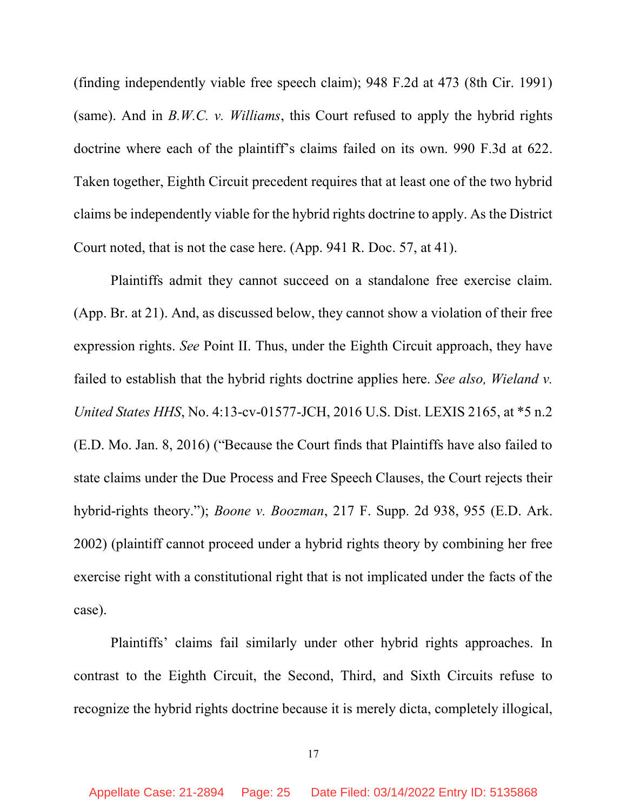(finding independently viable free speech claim); 948 F.2d at 473 (8th Cir. 1991) (same). And in  $B.W.C.$  v. *Williams*, this Court refused to apply the hybrid rights doctrine where each of the plaintiff's claims failed on its own. 990 F.3d at 622. Taken together, Eighth Circuit precedent requires that at least one of the two hybrid claims be independently viable for the hybrid rights doctrine to apply. As the District Court noted, that is not the case here. (App. 941 R. Doc. 57, at 41).

Plaintiffs admit they cannot succeed on a standalone free exercise claim. (App. Br. at 21). And, as discussed below, they cannot show a violation of their free expression rights. See Point II. Thus, under the Eighth Circuit approach, they have failed to establish that the hybrid rights doctrine applies here. See also, Wieland  $v$ . United States HHS, No. 4:13-cv-01577-JCH, 2016 U.S. Dist. LEXIS 2165, at \*5 n.2 (E.D. Mo. Jan. 8, 2016) ("Because the Court finds that Plaintiffs have also failed to state claims under the Due Process and Free Speech Clauses, the Court rejects their hybrid-rights theory."); *Boone v. Boozman*, 217 F. Supp. 2d 938, 955 (E.D. Ark. 2002) (plaintiff cannot proceed under a hybrid rights theory by combining her free exercise right with a constitutional right that is not implicated under the facts of the case).

Plaintiffs' claims fail similarly under other hybrid rights approaches. In contrast to the Eighth Circuit, the Second, Third, and Sixth Circuits refuse to recognize the hybrid rights doctrine because it is merely dicta, completely illogical,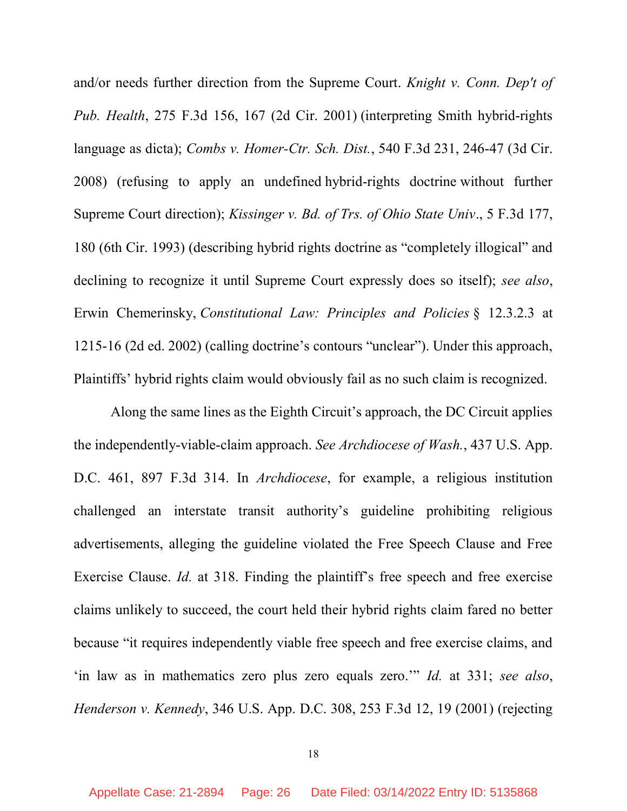and/or needs further direction from the Supreme Court. Knight v. Conn. Dep't of Pub. Health, 275 F.3d 156, 167 (2d Cir. 2001) (interpreting Smith hybrid-rights language as dicta); Combs v. Homer-Ctr. Sch. Dist., 540 F.3d 231, 246-47 (3d Cir. 2008) (refusing to apply an undefined hybrid-rights doctrine without further Supreme Court direction); Kissinger v. Bd. of Trs. of Ohio State Univ., 5 F.3d 177, 180 (6th Cir. 1993) (describing hybrid rights doctrine as "completely illogical" and declining to recognize it until Supreme Court expressly does so itself); see also, Erwin Chemerinsky, Constitutional Law: Principles and Policies § 12.3.2.3 at 1215-16 (2d ed. 2002) (calling doctrine's contours "unclear"). Under this approach, Plaintiffs' hybrid rights claim would obviously fail as no such claim is recognized.

Along the same lines as the Eighth Circuit's approach, the DC Circuit applies the independently-viable-claim approach. See Archdiocese of Wash., 437 U.S. App. D.C. 461, 897 F.3d 314. In Archdiocese, for example, a religious institution challenged an interstate transit authority's guideline prohibiting religious advertisements, alleging the guideline violated the Free Speech Clause and Free Exercise Clause. Id. at 318. Finding the plaintiff's free speech and free exercise claims unlikely to succeed, the court held their hybrid rights claim fared no better because "it requires independently viable free speech and free exercise claims, and 'in law as in mathematics zero plus zero equals zero.'" Id. at 331; see also, Henderson v. Kennedy, 346 U.S. App. D.C. 308, 253 F.3d 12, 19 (2001) (rejecting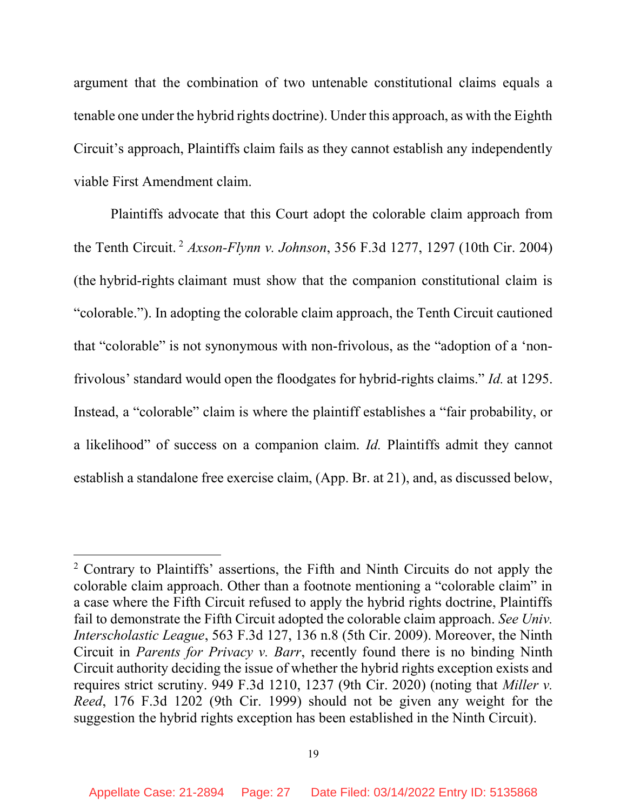argument that the combination of two untenable constitutional claims equals a tenable one under the hybrid rights doctrine). Under this approach, as with the Eighth Circuit's approach, Plaintiffs claim fails as they cannot establish any independently viable First Amendment claim.

Plaintiffs advocate that this Court adopt the colorable claim approach from the Tenth Circuit.<sup>2</sup> Axson-Flynn v. Johnson, 356 F.3d 1277, 1297 (10th Cir. 2004) (the hybrid-rights claimant must show that the companion constitutional claim is "colorable."). In adopting the colorable claim approach, the Tenth Circuit cautioned that "colorable" is not synonymous with non-frivolous, as the "adoption of a 'nonfrivolous' standard would open the floodgates for hybrid-rights claims." Id. at 1295. Instead, a "colorable" claim is where the plaintiff establishes a "fair probability, or a likelihood" of success on a companion claim. Id. Plaintiffs admit they cannot establish a standalone free exercise claim, (App. Br. at 21), and, as discussed below,

<sup>&</sup>lt;sup>2</sup> Contrary to Plaintiffs' assertions, the Fifth and Ninth Circuits do not apply the colorable claim approach. Other than a footnote mentioning a "colorable claim" in a case where the Fifth Circuit refused to apply the hybrid rights doctrine, Plaintiffs fail to demonstrate the Fifth Circuit adopted the colorable claim approach. See Univ. Interscholastic League, 563 F.3d 127, 136 n.8 (5th Cir. 2009). Moreover, the Ninth Circuit in Parents for Privacy v. Barr, recently found there is no binding Ninth Circuit authority deciding the issue of whether the hybrid rights exception exists and requires strict scrutiny. 949 F.3d 1210, 1237 (9th Cir. 2020) (noting that Miller v. Reed, 176 F.3d 1202 (9th Cir. 1999) should not be given any weight for the suggestion the hybrid rights exception has been established in the Ninth Circuit).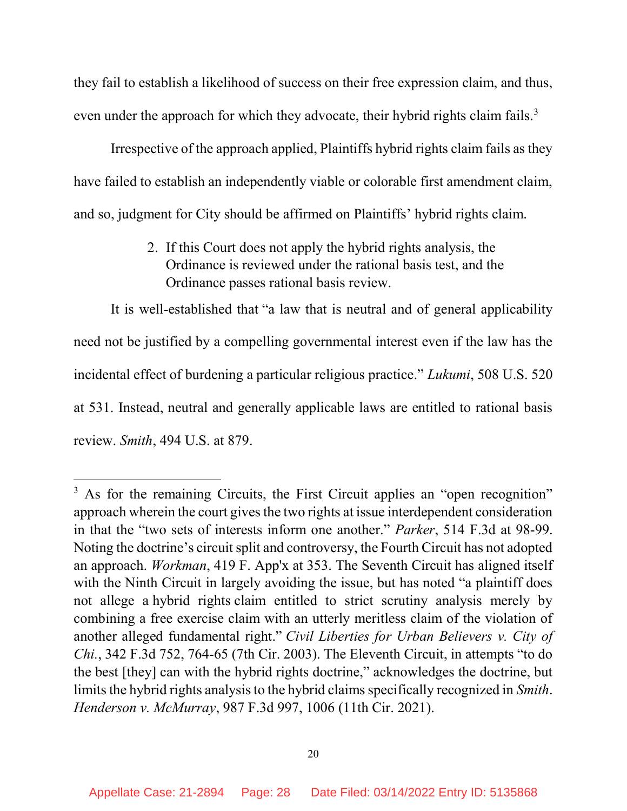they fail to establish a likelihood of success on their free expression claim, and thus, even under the approach for which they advocate, their hybrid rights claim fails.<sup>3</sup>

 Irrespective of the approach applied, Plaintiffs hybrid rights claim fails as they have failed to establish an independently viable or colorable first amendment claim, and so, judgment for City should be affirmed on Plaintiffs' hybrid rights claim.

> 2. If this Court does not apply the hybrid rights analysis, the Ordinance is reviewed under the rational basis test, and the Ordinance passes rational basis review.

It is well-established that "a law that is neutral and of general applicability need not be justified by a compelling governmental interest even if the law has the incidental effect of burdening a particular religious practice." Lukumi, 508 U.S. 520 at 531. Instead, neutral and generally applicable laws are entitled to rational basis review. Smith, 494 U.S. at 879.

<sup>&</sup>lt;sup>3</sup> As for the remaining Circuits, the First Circuit applies an "open recognition" approach wherein the court gives the two rights at issue interdependent consideration in that the "two sets of interests inform one another." Parker, 514 F.3d at 98-99. Noting the doctrine's circuit split and controversy, the Fourth Circuit has not adopted an approach. Workman, 419 F. App'x at 353. The Seventh Circuit has aligned itself with the Ninth Circuit in largely avoiding the issue, but has noted "a plaintiff does" not allege a hybrid rights claim entitled to strict scrutiny analysis merely by combining a free exercise claim with an utterly meritless claim of the violation of another alleged fundamental right." Civil Liberties for Urban Believers v. City of Chi., 342 F.3d 752, 764-65 (7th Cir. 2003). The Eleventh Circuit, in attempts "to do the best [they] can with the hybrid rights doctrine," acknowledges the doctrine, but limits the hybrid rights analysis to the hybrid claims specifically recognized in Smith. Henderson v. McMurray, 987 F.3d 997, 1006 (11th Cir. 2021).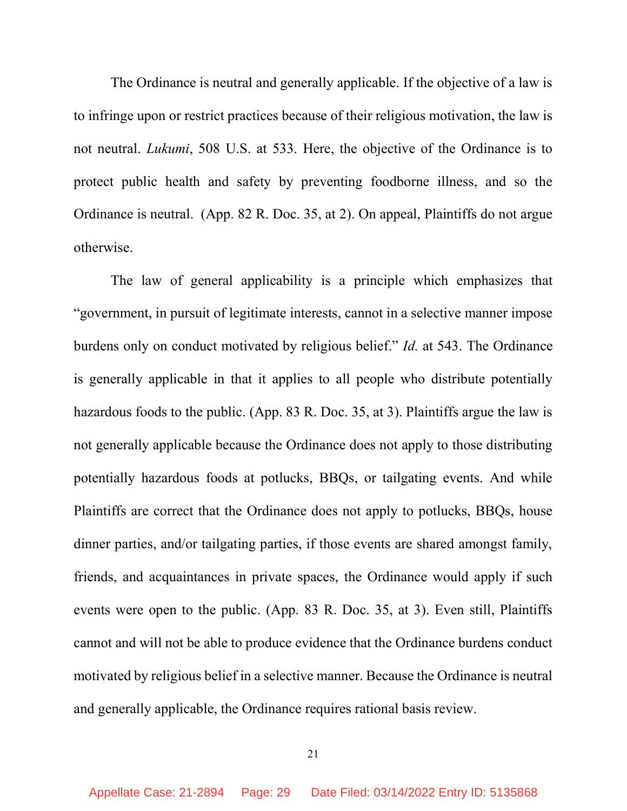The Ordinance is neutral and generally applicable. If the objective of a law is to infringe upon or restrict practices because of their religious motivation, the law is not neutral. Lukumi, 508 U.S. at 533. Here, the objective of the Ordinance is to protect public health and safety by preventing foodborne illness, and so the Ordinance is neutral. (App. 82 R. Doc. 35, at 2). On appeal, Plaintiffs do not argue otherwise.

The law of general applicability is a principle which emphasizes that "government, in pursuit of legitimate interests, cannot in a selective manner impose burdens only on conduct motivated by religious belief." Id. at 543. The Ordinance is generally applicable in that it applies to all people who distribute potentially hazardous foods to the public. (App. 83 R. Doc. 35, at 3). Plaintiffs argue the law is not generally applicable because the Ordinance does not apply to those distributing potentially hazardous foods at potlucks, BBQs, or tailgating events. And while Plaintiffs are correct that the Ordinance does not apply to potlucks, BBQs, house dinner parties, and/or tailgating parties, if those events are shared amongst family, friends, and acquaintances in private spaces, the Ordinance would apply if such events were open to the public. (App. 83 R. Doc. 35, at 3). Even still, Plaintiffs cannot and will not be able to produce evidence that the Ordinance burdens conduct motivated by religious belief in a selective manner. Because the Ordinance is neutral and generally applicable, the Ordinance requires rational basis review.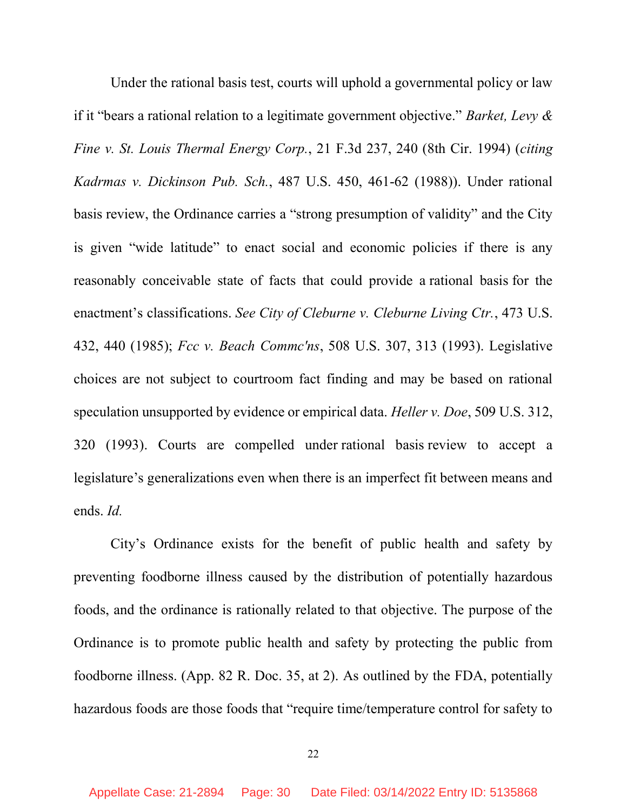Under the rational basis test, courts will uphold a governmental policy or law if it "bears a rational relation to a legitimate government objective." Barket, Levy & Fine v. St. Louis Thermal Energy Corp., 21 F.3d 237, 240 (8th Cir. 1994) (citing Kadrmas v. Dickinson Pub. Sch., 487 U.S. 450, 461-62 (1988)). Under rational basis review, the Ordinance carries a "strong presumption of validity" and the City is given "wide latitude" to enact social and economic policies if there is any reasonably conceivable state of facts that could provide a rational basis for the enactment's classifications. See City of Cleburne v. Cleburne Living Ctr., 473 U.S. 432, 440 (1985); *Fcc v. Beach Commc'ns*, 508 U.S. 307, 313 (1993). Legislative choices are not subject to courtroom fact finding and may be based on rational speculation unsupported by evidence or empirical data. Heller v. Doe, 509 U.S. 312, 320 (1993). Courts are compelled under rational basis review to accept a legislature's generalizations even when there is an imperfect fit between means and ends. Id.

City's Ordinance exists for the benefit of public health and safety by preventing foodborne illness caused by the distribution of potentially hazardous foods, and the ordinance is rationally related to that objective. The purpose of the Ordinance is to promote public health and safety by protecting the public from foodborne illness. (App. 82 R. Doc. 35, at 2). As outlined by the FDA, potentially hazardous foods are those foods that "require time/temperature control for safety to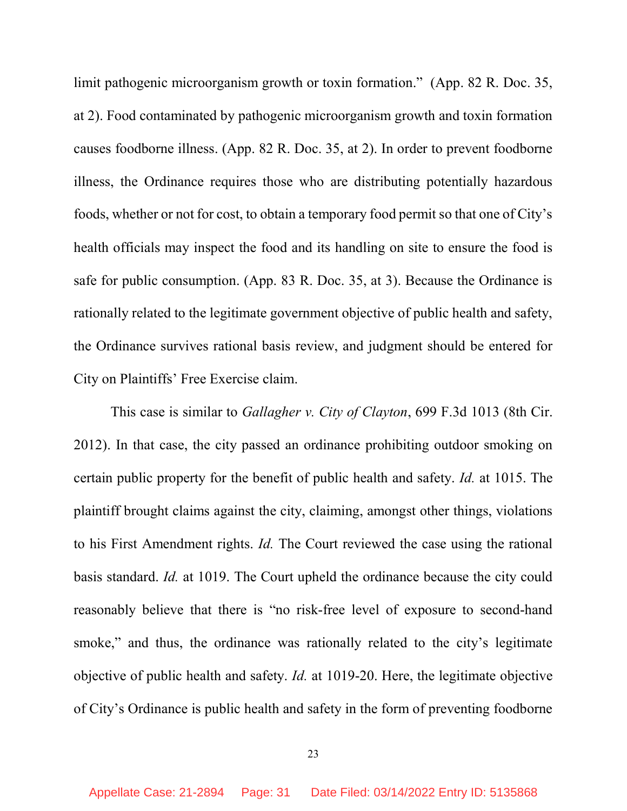limit pathogenic microorganism growth or toxin formation." (App. 82 R. Doc. 35, at 2). Food contaminated by pathogenic microorganism growth and toxin formation causes foodborne illness. (App. 82 R. Doc. 35, at 2). In order to prevent foodborne illness, the Ordinance requires those who are distributing potentially hazardous foods, whether or not for cost, to obtain a temporary food permit so that one of City's health officials may inspect the food and its handling on site to ensure the food is safe for public consumption. (App. 83 R. Doc. 35, at 3). Because the Ordinance is rationally related to the legitimate government objective of public health and safety, the Ordinance survives rational basis review, and judgment should be entered for City on Plaintiffs' Free Exercise claim.

This case is similar to Gallagher v. City of Clayton, 699 F.3d 1013 (8th Cir. 2012). In that case, the city passed an ordinance prohibiting outdoor smoking on certain public property for the benefit of public health and safety. Id. at 1015. The plaintiff brought claims against the city, claiming, amongst other things, violations to his First Amendment rights. Id. The Court reviewed the case using the rational basis standard. Id. at 1019. The Court upheld the ordinance because the city could reasonably believe that there is "no risk-free level of exposure to second-hand smoke," and thus, the ordinance was rationally related to the city's legitimate objective of public health and safety. Id. at 1019-20. Here, the legitimate objective of City's Ordinance is public health and safety in the form of preventing foodborne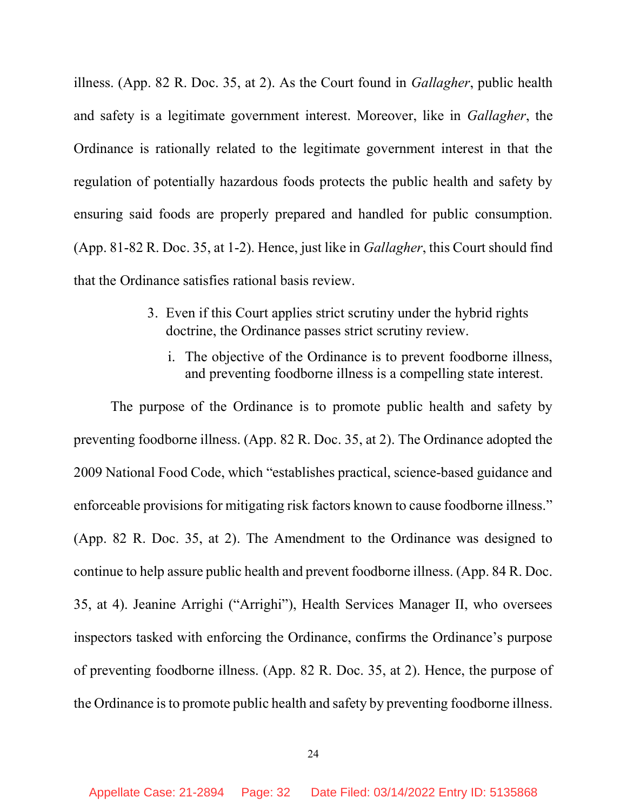illness. (App. 82 R. Doc. 35, at 2). As the Court found in Gallagher, public health and safety is a legitimate government interest. Moreover, like in Gallagher, the Ordinance is rationally related to the legitimate government interest in that the regulation of potentially hazardous foods protects the public health and safety by ensuring said foods are properly prepared and handled for public consumption. (App. 81-82 R. Doc. 35, at 1-2). Hence, just like in Gallagher, this Court should find that the Ordinance satisfies rational basis review.

- 3. Even if this Court applies strict scrutiny under the hybrid rights doctrine, the Ordinance passes strict scrutiny review.
	- i. The objective of the Ordinance is to prevent foodborne illness, and preventing foodborne illness is a compelling state interest.

The purpose of the Ordinance is to promote public health and safety by preventing foodborne illness. (App. 82 R. Doc. 35, at 2). The Ordinance adopted the 2009 National Food Code, which "establishes practical, science-based guidance and enforceable provisions for mitigating risk factors known to cause foodborne illness." (App. 82 R. Doc. 35, at 2). The Amendment to the Ordinance was designed to continue to help assure public health and prevent foodborne illness. (App. 84 R. Doc. 35, at 4). Jeanine Arrighi ("Arrighi"), Health Services Manager II, who oversees inspectors tasked with enforcing the Ordinance, confirms the Ordinance's purpose of preventing foodborne illness. (App. 82 R. Doc. 35, at 2). Hence, the purpose of the Ordinance is to promote public health and safety by preventing foodborne illness.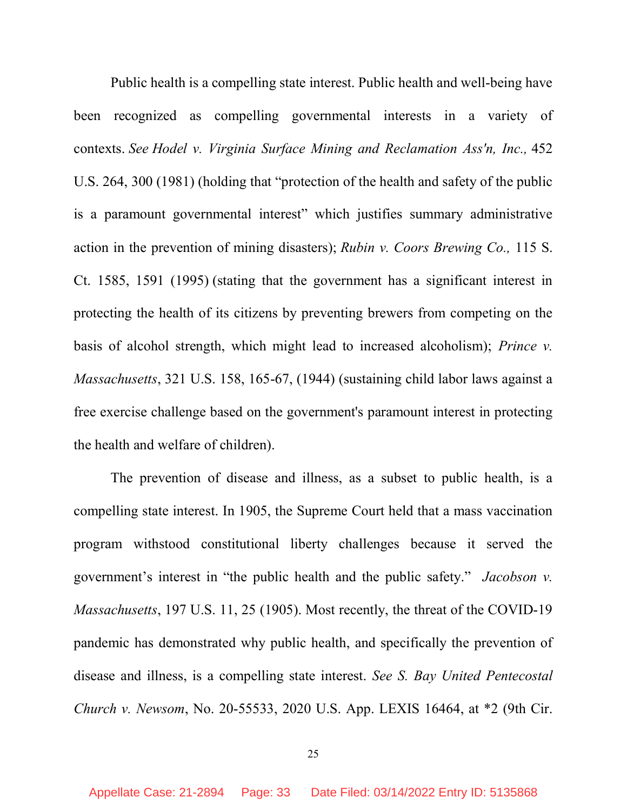Public health is a compelling state interest. Public health and well-being have been recognized as compelling governmental interests in a variety of contexts. See Hodel v. Virginia Surface Mining and Reclamation Ass'n, Inc., 452 U.S. 264, 300 (1981) (holding that "protection of the health and safety of the public is a paramount governmental interest" which justifies summary administrative action in the prevention of mining disasters); Rubin v. Coors Brewing Co., 115 S. Ct. 1585, 1591 (1995) (stating that the government has a significant interest in protecting the health of its citizens by preventing brewers from competing on the basis of alcohol strength, which might lead to increased alcoholism); Prince v. Massachusetts, 321 U.S. 158, 165-67, (1944) (sustaining child labor laws against a free exercise challenge based on the government's paramount interest in protecting the health and welfare of children).

The prevention of disease and illness, as a subset to public health, is a compelling state interest. In 1905, the Supreme Court held that a mass vaccination program withstood constitutional liberty challenges because it served the government's interest in "the public health and the public safety." Jacobson v. Massachusetts, 197 U.S. 11, 25 (1905). Most recently, the threat of the COVID-19 pandemic has demonstrated why public health, and specifically the prevention of disease and illness, is a compelling state interest. See S. Bay United Pentecostal Church v. Newsom, No. 20-55533, 2020 U.S. App. LEXIS 16464, at \*2 (9th Cir.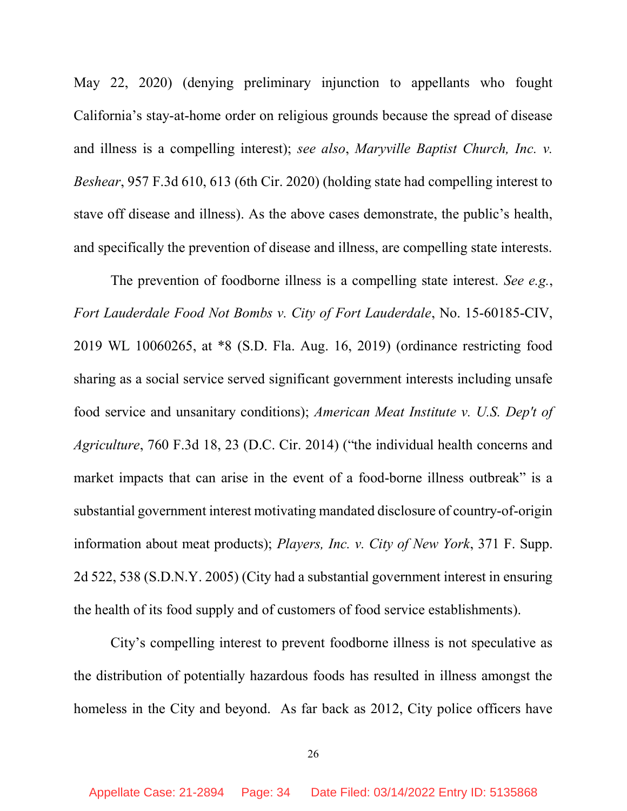May 22, 2020) (denying preliminary injunction to appellants who fought California's stay-at-home order on religious grounds because the spread of disease and illness is a compelling interest); see also, Maryville Baptist Church, Inc. v. Beshear, 957 F.3d 610, 613 (6th Cir. 2020) (holding state had compelling interest to stave off disease and illness). As the above cases demonstrate, the public's health, and specifically the prevention of disease and illness, are compelling state interests.

The prevention of foodborne illness is a compelling state interest. See e.g., Fort Lauderdale Food Not Bombs v. City of Fort Lauderdale, No. 15-60185-CIV, 2019 WL 10060265, at \*8 (S.D. Fla. Aug. 16, 2019) (ordinance restricting food sharing as a social service served significant government interests including unsafe food service and unsanitary conditions); American Meat Institute v. U.S. Dep't of Agriculture, 760 F.3d 18, 23 (D.C. Cir. 2014) ("the individual health concerns and market impacts that can arise in the event of a food-borne illness outbreak" is a substantial government interest motivating mandated disclosure of country-of-origin information about meat products); Players, Inc. v. City of New York, 371 F. Supp. 2d 522, 538 (S.D.N.Y. 2005) (City had a substantial government interest in ensuring the health of its food supply and of customers of food service establishments).

City's compelling interest to prevent foodborne illness is not speculative as the distribution of potentially hazardous foods has resulted in illness amongst the homeless in the City and beyond. As far back as 2012, City police officers have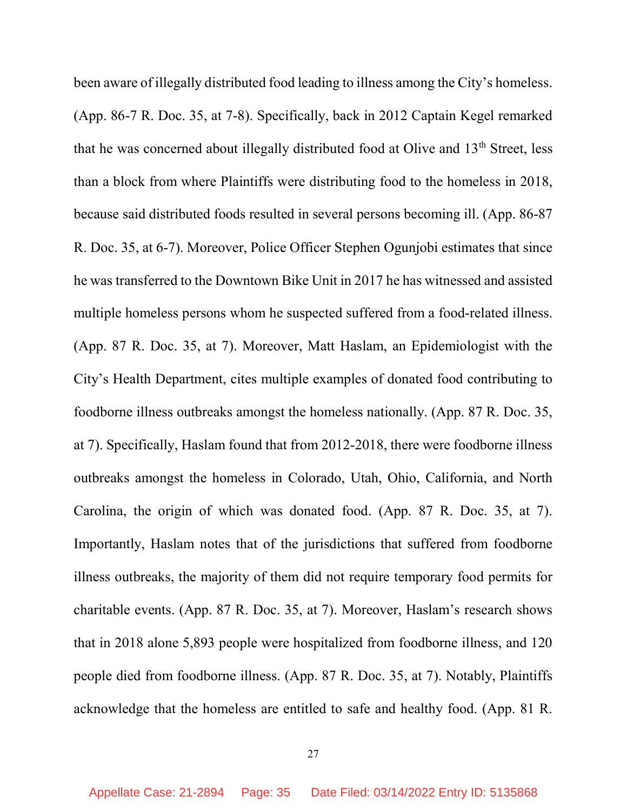been aware of illegally distributed food leading to illness among the City's homeless. (App. 86-7 R. Doc. 35, at 7-8). Specifically, back in 2012 Captain Kegel remarked that he was concerned about illegally distributed food at Olive and 13<sup>th</sup> Street, less than a block from where Plaintiffs were distributing food to the homeless in 2018, because said distributed foods resulted in several persons becoming ill. (App. 86-87 R. Doc. 35, at 6-7). Moreover, Police Officer Stephen Ogunjobi estimates that since he was transferred to the Downtown Bike Unit in 2017 he has witnessed and assisted multiple homeless persons whom he suspected suffered from a food-related illness. (App. 87 R. Doc. 35, at 7). Moreover, Matt Haslam, an Epidemiologist with the City's Health Department, cites multiple examples of donated food contributing to foodborne illness outbreaks amongst the homeless nationally. (App. 87 R. Doc. 35, at 7). Specifically, Haslam found that from 2012-2018, there were foodborne illness outbreaks amongst the homeless in Colorado, Utah, Ohio, California, and North Carolina, the origin of which was donated food. (App. 87 R. Doc. 35, at 7). Importantly, Haslam notes that of the jurisdictions that suffered from foodborne illness outbreaks, the majority of them did not require temporary food permits for charitable events. (App. 87 R. Doc. 35, at 7). Moreover, Haslam's research shows that in 2018 alone 5,893 people were hospitalized from foodborne illness, and 120 people died from foodborne illness. (App. 87 R. Doc. 35, at 7). Notably, Plaintiffs acknowledge that the homeless are entitled to safe and healthy food. (App. 81 R.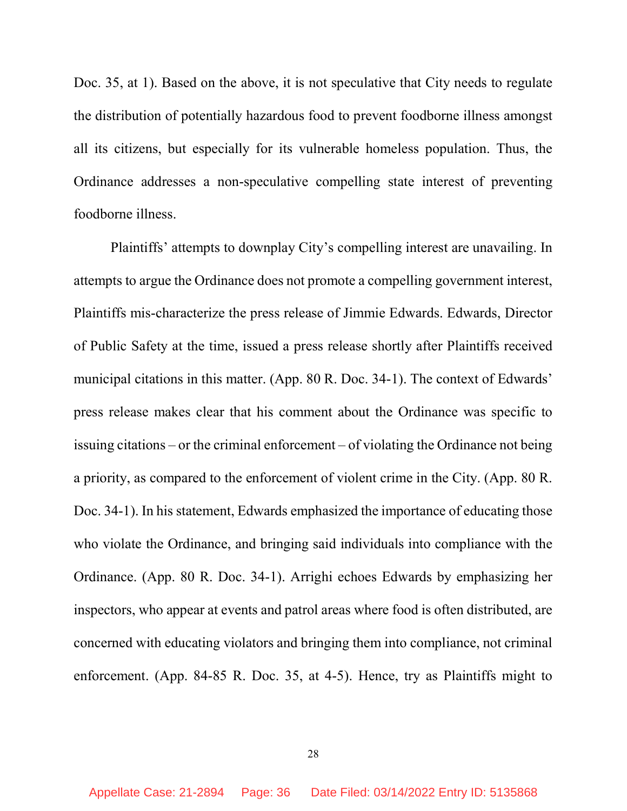Doc. 35, at 1). Based on the above, it is not speculative that City needs to regulate the distribution of potentially hazardous food to prevent foodborne illness amongst all its citizens, but especially for its vulnerable homeless population. Thus, the Ordinance addresses a non-speculative compelling state interest of preventing foodborne illness.

Plaintiffs' attempts to downplay City's compelling interest are unavailing. In attempts to argue the Ordinance does not promote a compelling government interest, Plaintiffs mis-characterize the press release of Jimmie Edwards. Edwards, Director of Public Safety at the time, issued a press release shortly after Plaintiffs received municipal citations in this matter. (App. 80 R. Doc. 34-1). The context of Edwards' press release makes clear that his comment about the Ordinance was specific to issuing citations – or the criminal enforcement – of violating the Ordinance not being a priority, as compared to the enforcement of violent crime in the City. (App. 80 R. Doc. 34-1). In his statement, Edwards emphasized the importance of educating those who violate the Ordinance, and bringing said individuals into compliance with the Ordinance. (App. 80 R. Doc. 34-1). Arrighi echoes Edwards by emphasizing her inspectors, who appear at events and patrol areas where food is often distributed, are concerned with educating violators and bringing them into compliance, not criminal enforcement. (App. 84-85 R. Doc. 35, at 4-5). Hence, try as Plaintiffs might to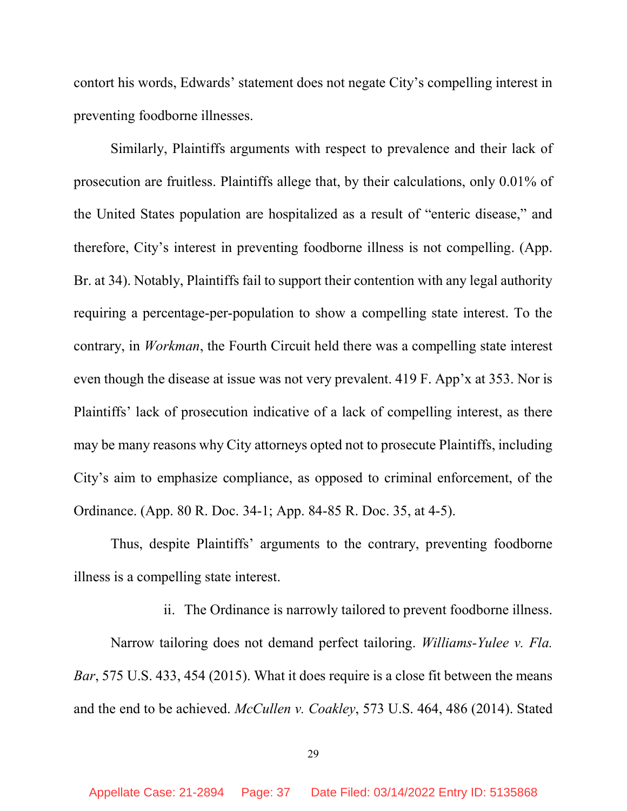contort his words, Edwards' statement does not negate City's compelling interest in preventing foodborne illnesses.

Similarly, Plaintiffs arguments with respect to prevalence and their lack of prosecution are fruitless. Plaintiffs allege that, by their calculations, only 0.01% of the United States population are hospitalized as a result of "enteric disease," and therefore, City's interest in preventing foodborne illness is not compelling. (App. Br. at 34). Notably, Plaintiffs fail to support their contention with any legal authority requiring a percentage-per-population to show a compelling state interest. To the contrary, in Workman, the Fourth Circuit held there was a compelling state interest even though the disease at issue was not very prevalent. 419 F. App'x at 353. Nor is Plaintiffs' lack of prosecution indicative of a lack of compelling interest, as there may be many reasons why City attorneys opted not to prosecute Plaintiffs, including City's aim to emphasize compliance, as opposed to criminal enforcement, of the Ordinance. (App. 80 R. Doc. 34-1; App. 84-85 R. Doc. 35, at 4-5).

Thus, despite Plaintiffs' arguments to the contrary, preventing foodborne illness is a compelling state interest.

ii. The Ordinance is narrowly tailored to prevent foodborne illness.

Narrow tailoring does not demand perfect tailoring. Williams-Yulee v. Fla. Bar, 575 U.S. 433, 454 (2015). What it does require is a close fit between the means and the end to be achieved. McCullen v. Coakley, 573 U.S. 464, 486 (2014). Stated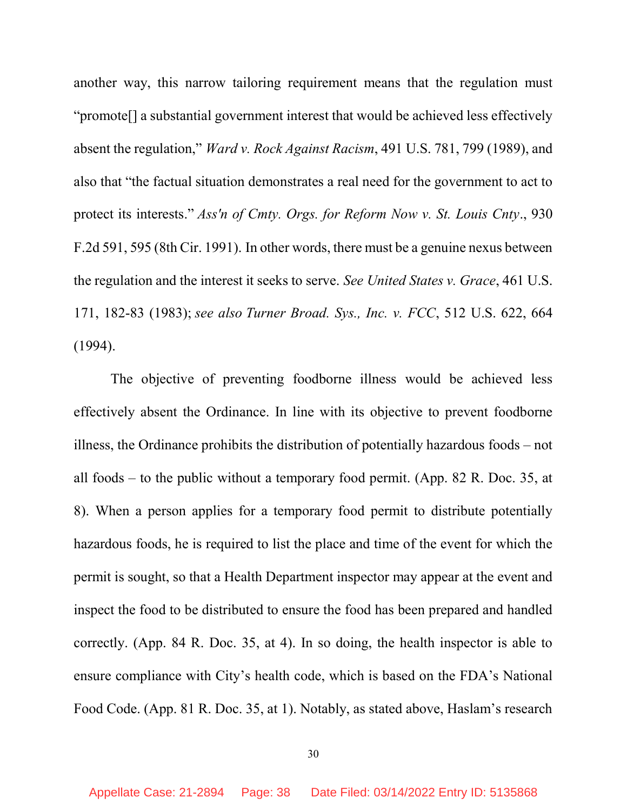another way, this narrow tailoring requirement means that the regulation must "promote[] a substantial government interest that would be achieved less effectively absent the regulation," Ward v. Rock Against Racism, 491 U.S. 781, 799 (1989), and also that "the factual situation demonstrates a real need for the government to act to protect its interests." Ass'n of Cmty. Orgs. for Reform Now v. St. Louis Cnty., 930 F.2d 591, 595 (8th Cir. 1991). In other words, there must be a genuine nexus between the regulation and the interest it seeks to serve. See United States v. Grace, 461 U.S. 171, 182-83 (1983); see also Turner Broad. Sys., Inc. v. FCC, 512 U.S. 622, 664 (1994).

 The objective of preventing foodborne illness would be achieved less effectively absent the Ordinance. In line with its objective to prevent foodborne illness, the Ordinance prohibits the distribution of potentially hazardous foods – not all foods – to the public without a temporary food permit. (App. 82 R. Doc. 35, at 8). When a person applies for a temporary food permit to distribute potentially hazardous foods, he is required to list the place and time of the event for which the permit is sought, so that a Health Department inspector may appear at the event and inspect the food to be distributed to ensure the food has been prepared and handled correctly. (App. 84 R. Doc. 35, at 4). In so doing, the health inspector is able to ensure compliance with City's health code, which is based on the FDA's National Food Code. (App. 81 R. Doc. 35, at 1). Notably, as stated above, Haslam's research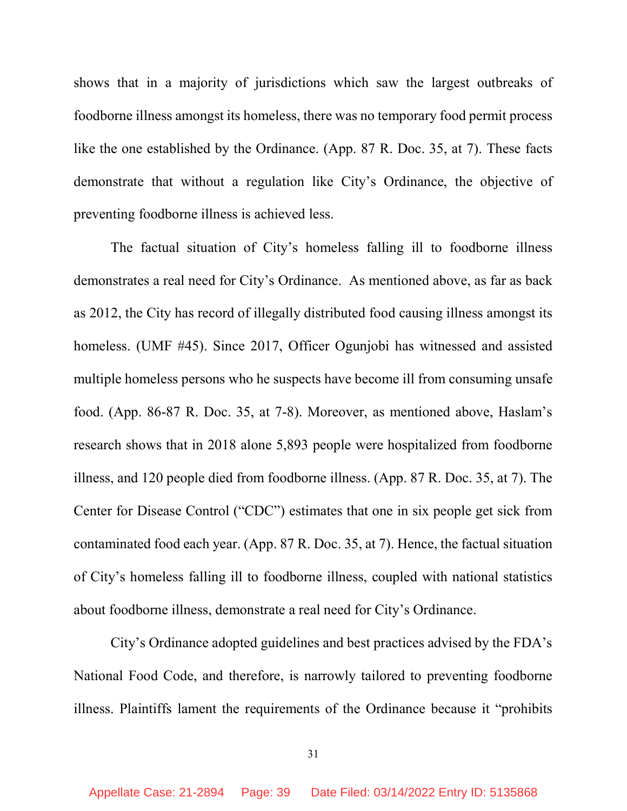shows that in a majority of jurisdictions which saw the largest outbreaks of foodborne illness amongst its homeless, there was no temporary food permit process like the one established by the Ordinance. (App. 87 R. Doc. 35, at 7). These facts demonstrate that without a regulation like City's Ordinance, the objective of preventing foodborne illness is achieved less.

The factual situation of City's homeless falling ill to foodborne illness demonstrates a real need for City's Ordinance. As mentioned above, as far as back as 2012, the City has record of illegally distributed food causing illness amongst its homeless. (UMF #45). Since 2017, Officer Ogunjobi has witnessed and assisted multiple homeless persons who he suspects have become ill from consuming unsafe food. (App. 86-87 R. Doc. 35, at 7-8). Moreover, as mentioned above, Haslam's research shows that in 2018 alone 5,893 people were hospitalized from foodborne illness, and 120 people died from foodborne illness. (App. 87 R. Doc. 35, at 7). The Center for Disease Control ("CDC") estimates that one in six people get sick from contaminated food each year. (App. 87 R. Doc. 35, at 7). Hence, the factual situation of City's homeless falling ill to foodborne illness, coupled with national statistics about foodborne illness, demonstrate a real need for City's Ordinance.

City's Ordinance adopted guidelines and best practices advised by the FDA's National Food Code, and therefore, is narrowly tailored to preventing foodborne illness. Plaintiffs lament the requirements of the Ordinance because it "prohibits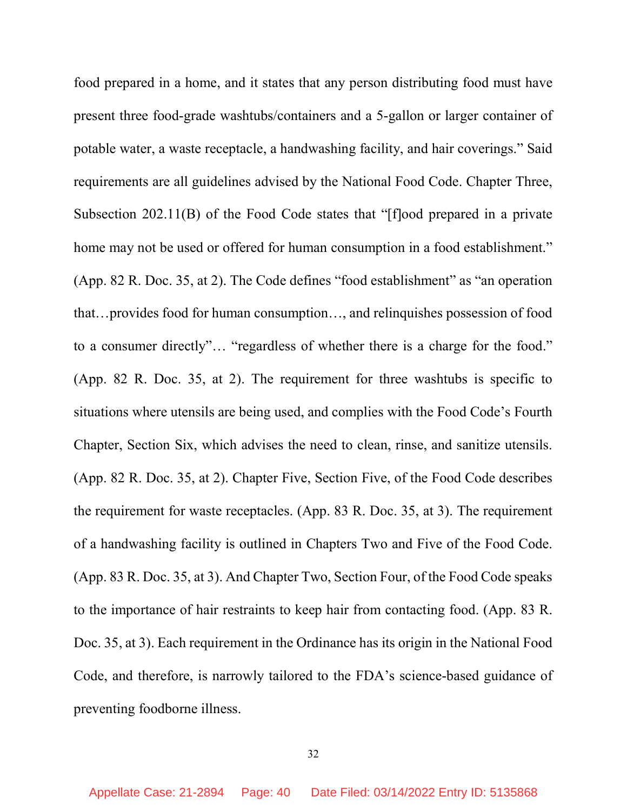food prepared in a home, and it states that any person distributing food must have present three food-grade washtubs/containers and a 5-gallon or larger container of potable water, a waste receptacle, a handwashing facility, and hair coverings." Said requirements are all guidelines advised by the National Food Code. Chapter Three, Subsection 202.11(B) of the Food Code states that "[f]ood prepared in a private home may not be used or offered for human consumption in a food establishment." (App. 82 R. Doc. 35, at 2). The Code defines "food establishment" as "an operation that…provides food for human consumption…, and relinquishes possession of food to a consumer directly"… "regardless of whether there is a charge for the food." (App. 82 R. Doc. 35, at 2). The requirement for three washtubs is specific to situations where utensils are being used, and complies with the Food Code's Fourth Chapter, Section Six, which advises the need to clean, rinse, and sanitize utensils. (App. 82 R. Doc. 35, at 2). Chapter Five, Section Five, of the Food Code describes the requirement for waste receptacles. (App. 83 R. Doc. 35, at 3). The requirement of a handwashing facility is outlined in Chapters Two and Five of the Food Code. (App. 83 R. Doc. 35, at 3). And Chapter Two, Section Four, of the Food Code speaks to the importance of hair restraints to keep hair from contacting food. (App. 83 R. Doc. 35, at 3). Each requirement in the Ordinance has its origin in the National Food Code, and therefore, is narrowly tailored to the FDA's science-based guidance of preventing foodborne illness.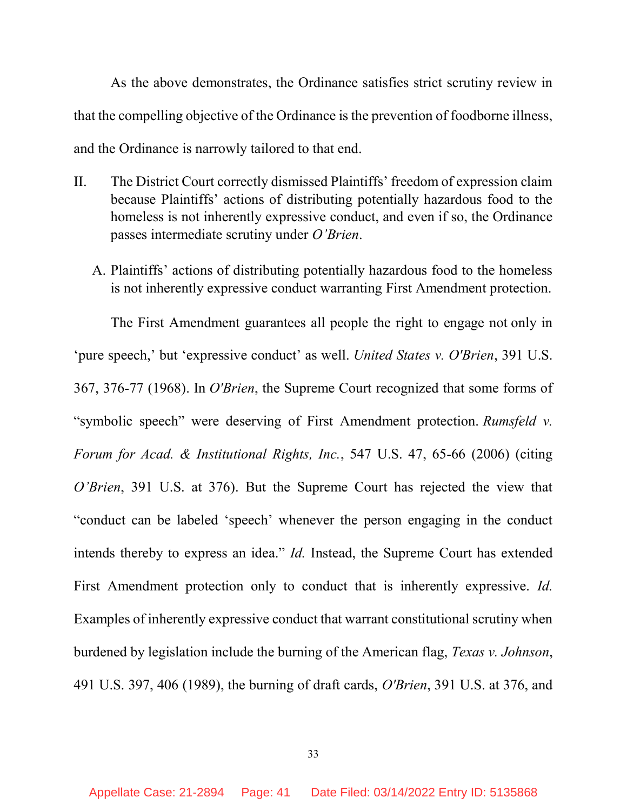As the above demonstrates, the Ordinance satisfies strict scrutiny review in that the compelling objective of the Ordinance is the prevention of foodborne illness, and the Ordinance is narrowly tailored to that end.

- II. The District Court correctly dismissed Plaintiffs' freedom of expression claim because Plaintiffs' actions of distributing potentially hazardous food to the homeless is not inherently expressive conduct, and even if so, the Ordinance passes intermediate scrutiny under O'Brien.
	- A. Plaintiffs' actions of distributing potentially hazardous food to the homeless is not inherently expressive conduct warranting First Amendment protection.

The First Amendment guarantees all people the right to engage not only in 'pure speech,' but 'expressive conduct' as well. United States v. O'Brien, 391 U.S. 367, 376-77 (1968). In O'Brien, the Supreme Court recognized that some forms of "symbolic speech" were deserving of First Amendment protection. Rumsfeld v. Forum for Acad. & Institutional Rights, Inc., 547 U.S. 47, 65-66 (2006) (citing O'Brien, 391 U.S. at 376). But the Supreme Court has rejected the view that "conduct can be labeled 'speech' whenever the person engaging in the conduct intends thereby to express an idea." Id. Instead, the Supreme Court has extended First Amendment protection only to conduct that is inherently expressive. Id. Examples of inherently expressive conduct that warrant constitutional scrutiny when burdened by legislation include the burning of the American flag, Texas v. Johnson, 491 U.S. 397, 406 (1989), the burning of draft cards, O'Brien, 391 U.S. at 376, and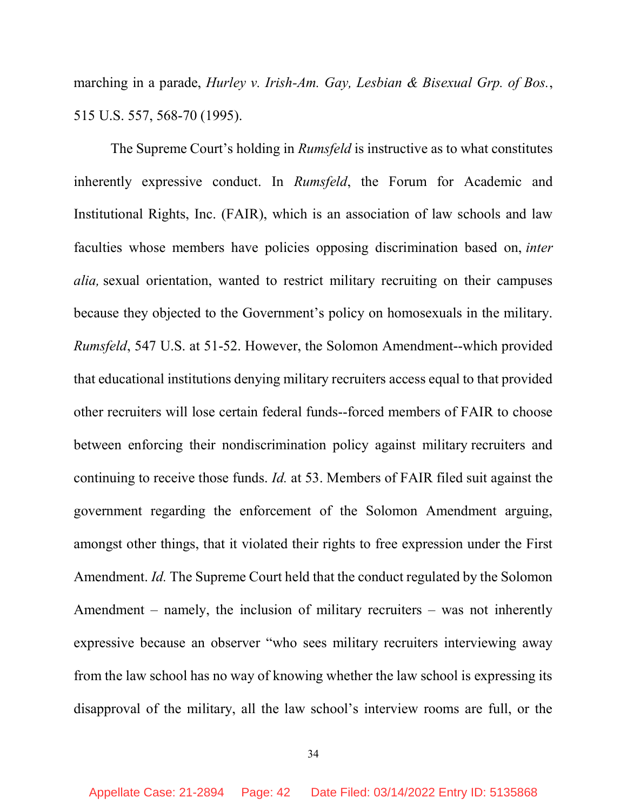marching in a parade, *Hurley v. Irish-Am. Gay, Lesbian & Bisexual Grp. of Bos.*, 515 U.S. 557, 568-70 (1995).

The Supreme Court's holding in *Rumsfeld* is instructive as to what constitutes inherently expressive conduct. In Rumsfeld, the Forum for Academic and Institutional Rights, Inc. (FAIR), which is an association of law schools and law faculties whose members have policies opposing discrimination based on, inter alia, sexual orientation, wanted to restrict military recruiting on their campuses because they objected to the Government's policy on homosexuals in the military. Rumsfeld, 547 U.S. at 51-52. However, the Solomon Amendment--which provided that educational institutions denying military recruiters access equal to that provided other recruiters will lose certain federal funds--forced members of FAIR to choose between enforcing their nondiscrimination policy against military recruiters and continuing to receive those funds. Id. at 53. Members of FAIR filed suit against the government regarding the enforcement of the Solomon Amendment arguing, amongst other things, that it violated their rights to free expression under the First Amendment. Id. The Supreme Court held that the conduct regulated by the Solomon Amendment – namely, the inclusion of military recruiters – was not inherently expressive because an observer "who sees military recruiters interviewing away from the law school has no way of knowing whether the law school is expressing its disapproval of the military, all the law school's interview rooms are full, or the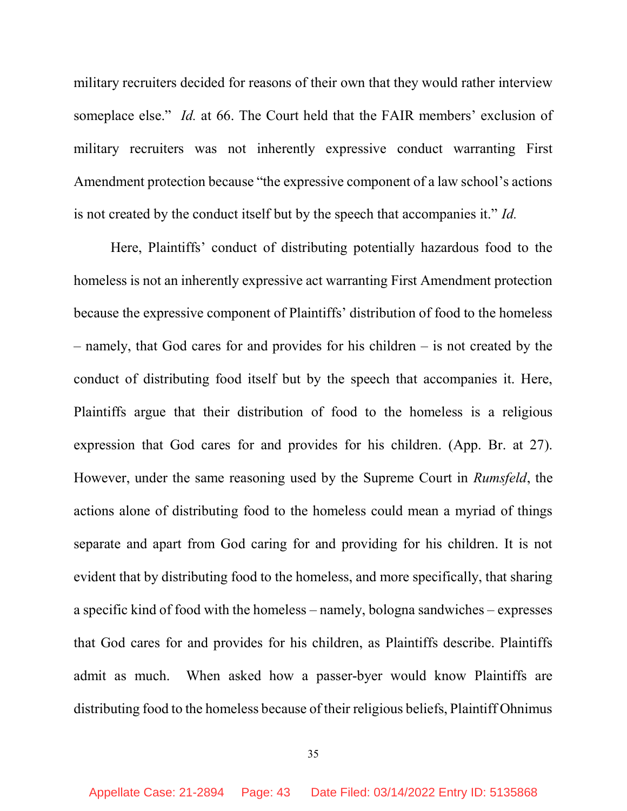military recruiters decided for reasons of their own that they would rather interview someplace else." *Id.* at 66. The Court held that the FAIR members' exclusion of military recruiters was not inherently expressive conduct warranting First Amendment protection because "the expressive component of a law school's actions is not created by the conduct itself but by the speech that accompanies it." Id.

Here, Plaintiffs' conduct of distributing potentially hazardous food to the homeless is not an inherently expressive act warranting First Amendment protection because the expressive component of Plaintiffs' distribution of food to the homeless – namely, that God cares for and provides for his children – is not created by the conduct of distributing food itself but by the speech that accompanies it. Here, Plaintiffs argue that their distribution of food to the homeless is a religious expression that God cares for and provides for his children. (App. Br. at 27). However, under the same reasoning used by the Supreme Court in Rumsfeld, the actions alone of distributing food to the homeless could mean a myriad of things separate and apart from God caring for and providing for his children. It is not evident that by distributing food to the homeless, and more specifically, that sharing a specific kind of food with the homeless – namely, bologna sandwiches – expresses that God cares for and provides for his children, as Plaintiffs describe. Plaintiffs admit as much. When asked how a passer-byer would know Plaintiffs are distributing food to the homeless because of their religious beliefs, Plaintiff Ohnimus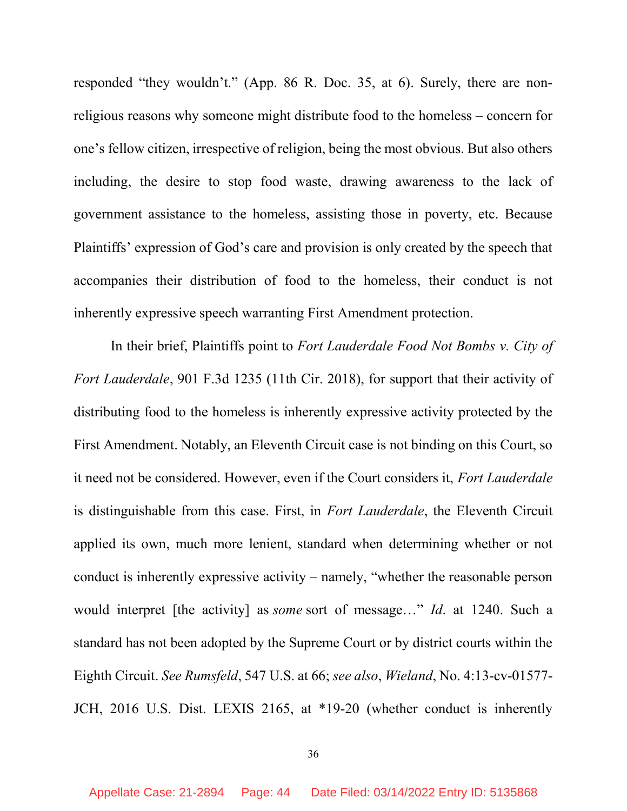responded "they wouldn't." (App. 86 R. Doc. 35, at 6). Surely, there are nonreligious reasons why someone might distribute food to the homeless – concern for one's fellow citizen, irrespective of religion, being the most obvious. But also others including, the desire to stop food waste, drawing awareness to the lack of government assistance to the homeless, assisting those in poverty, etc. Because Plaintiffs' expression of God's care and provision is only created by the speech that accompanies their distribution of food to the homeless, their conduct is not inherently expressive speech warranting First Amendment protection.

In their brief, Plaintiffs point to Fort Lauderdale Food Not Bombs v. City of Fort Lauderdale, 901 F.3d 1235 (11th Cir. 2018), for support that their activity of distributing food to the homeless is inherently expressive activity protected by the First Amendment. Notably, an Eleventh Circuit case is not binding on this Court, so it need not be considered. However, even if the Court considers it, Fort Lauderdale is distinguishable from this case. First, in Fort Lauderdale, the Eleventh Circuit applied its own, much more lenient, standard when determining whether or not conduct is inherently expressive activity – namely, "whether the reasonable person would interpret [the activity] as *some* sort of message..." *Id.* at 1240. Such a standard has not been adopted by the Supreme Court or by district courts within the Eighth Circuit. See Rumsfeld, 547 U.S. at 66; see also, Wieland, No. 4:13-cv-01577- JCH, 2016 U.S. Dist. LEXIS 2165, at \*19-20 (whether conduct is inherently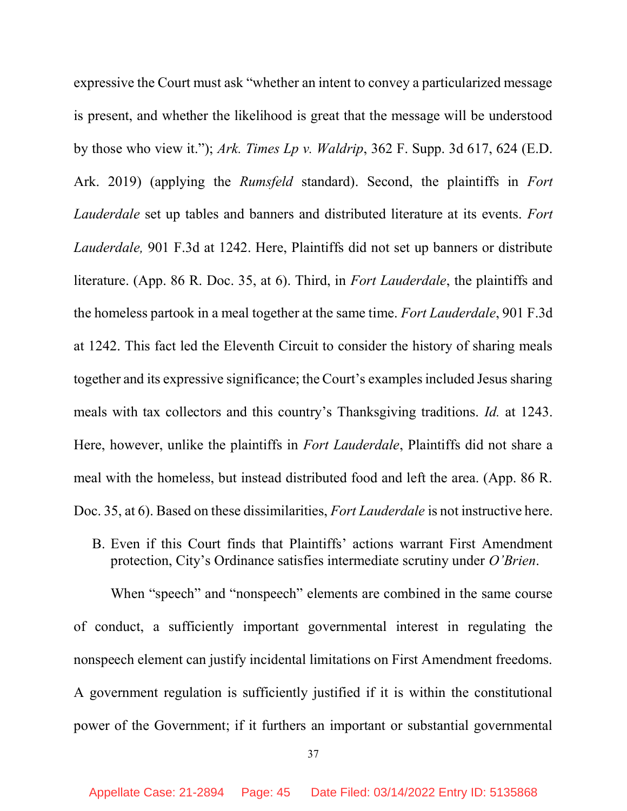expressive the Court must ask "whether an intent to convey a particularized message is present, and whether the likelihood is great that the message will be understood by those who view it."); Ark. Times Lp v. Waldrip, 362 F. Supp. 3d 617, 624 (E.D.) Ark. 2019) (applying the *Rumsfeld* standard). Second, the plaintiffs in Fort Lauderdale set up tables and banners and distributed literature at its events. Fort Lauderdale, 901 F.3d at 1242. Here, Plaintiffs did not set up banners or distribute literature. (App. 86 R. Doc. 35, at 6). Third, in Fort Lauderdale, the plaintiffs and the homeless partook in a meal together at the same time. Fort Lauderdale, 901 F.3d at 1242. This fact led the Eleventh Circuit to consider the history of sharing meals together and its expressive significance; the Court's examples included Jesus sharing meals with tax collectors and this country's Thanksgiving traditions. Id. at 1243. Here, however, unlike the plaintiffs in *Fort Lauderdale*, Plaintiffs did not share a meal with the homeless, but instead distributed food and left the area. (App. 86 R. Doc. 35, at 6). Based on these dissimilarities, *Fort Lauderdale* is not instructive here.

B. Even if this Court finds that Plaintiffs' actions warrant First Amendment protection, City's Ordinance satisfies intermediate scrutiny under O'Brien.

When "speech" and "nonspeech" elements are combined in the same course of conduct, a sufficiently important governmental interest in regulating the nonspeech element can justify incidental limitations on First Amendment freedoms. A government regulation is sufficiently justified if it is within the constitutional power of the Government; if it furthers an important or substantial governmental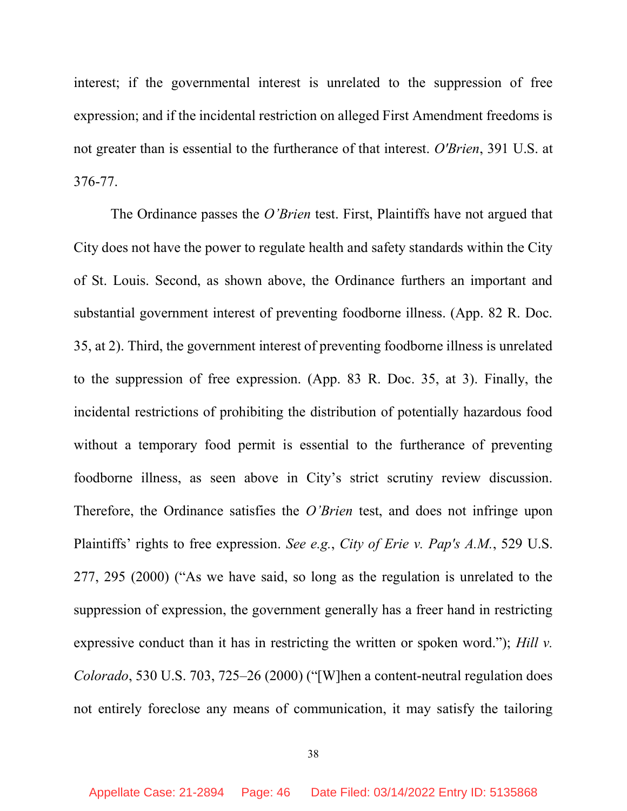interest; if the governmental interest is unrelated to the suppression of free expression; and if the incidental restriction on alleged First Amendment freedoms is not greater than is essential to the furtherance of that interest. O'Brien, 391 U.S. at 376-77.

The Ordinance passes the *O'Brien* test. First, Plaintiffs have not argued that City does not have the power to regulate health and safety standards within the City of St. Louis. Second, as shown above, the Ordinance furthers an important and substantial government interest of preventing foodborne illness. (App. 82 R. Doc. 35, at 2). Third, the government interest of preventing foodborne illness is unrelated to the suppression of free expression. (App. 83 R. Doc. 35, at 3). Finally, the incidental restrictions of prohibiting the distribution of potentially hazardous food without a temporary food permit is essential to the furtherance of preventing foodborne illness, as seen above in City's strict scrutiny review discussion. Therefore, the Ordinance satisfies the *O'Brien* test, and does not infringe upon Plaintiffs' rights to free expression. See e.g., City of Erie v. Pap's A.M., 529 U.S. 277, 295 (2000) ("As we have said, so long as the regulation is unrelated to the suppression of expression, the government generally has a freer hand in restricting expressive conduct than it has in restricting the written or spoken word."); Hill  $v$ . Colorado, 530 U.S. 703, 725–26 (2000) ("[W]hen a content-neutral regulation does not entirely foreclose any means of communication, it may satisfy the tailoring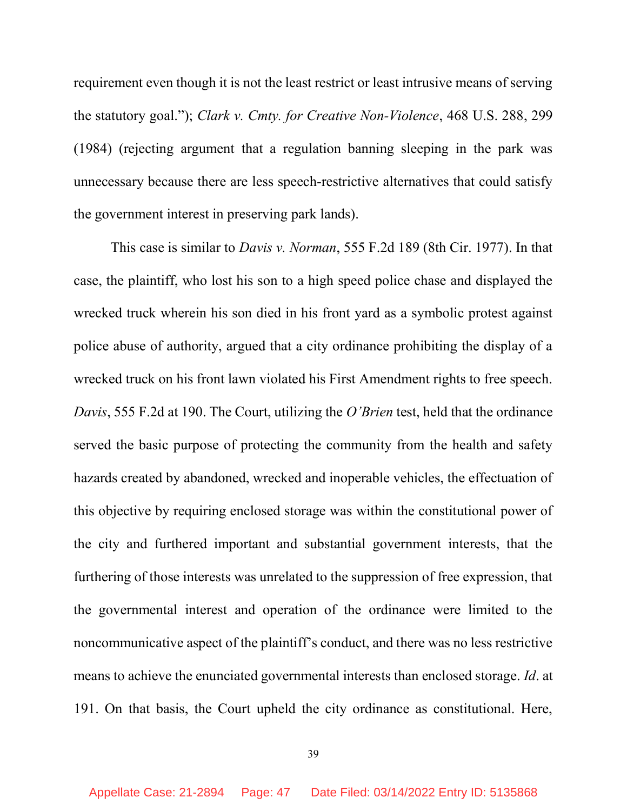requirement even though it is not the least restrict or least intrusive means of serving the statutory goal."); Clark v. Cmty. for Creative Non-Violence, 468 U.S. 288, 299 (1984) (rejecting argument that a regulation banning sleeping in the park was unnecessary because there are less speech-restrictive alternatives that could satisfy the government interest in preserving park lands).

This case is similar to *Davis v. Norman*, 555 F.2d 189 (8th Cir. 1977). In that case, the plaintiff, who lost his son to a high speed police chase and displayed the wrecked truck wherein his son died in his front yard as a symbolic protest against police abuse of authority, argued that a city ordinance prohibiting the display of a wrecked truck on his front lawn violated his First Amendment rights to free speech. Davis, 555 F.2d at 190. The Court, utilizing the O'Brien test, held that the ordinance served the basic purpose of protecting the community from the health and safety hazards created by abandoned, wrecked and inoperable vehicles, the effectuation of this objective by requiring enclosed storage was within the constitutional power of the city and furthered important and substantial government interests, that the furthering of those interests was unrelated to the suppression of free expression, that the governmental interest and operation of the ordinance were limited to the noncommunicative aspect of the plaintiff's conduct, and there was no less restrictive means to achieve the enunciated governmental interests than enclosed storage. Id. at 191. On that basis, the Court upheld the city ordinance as constitutional. Here,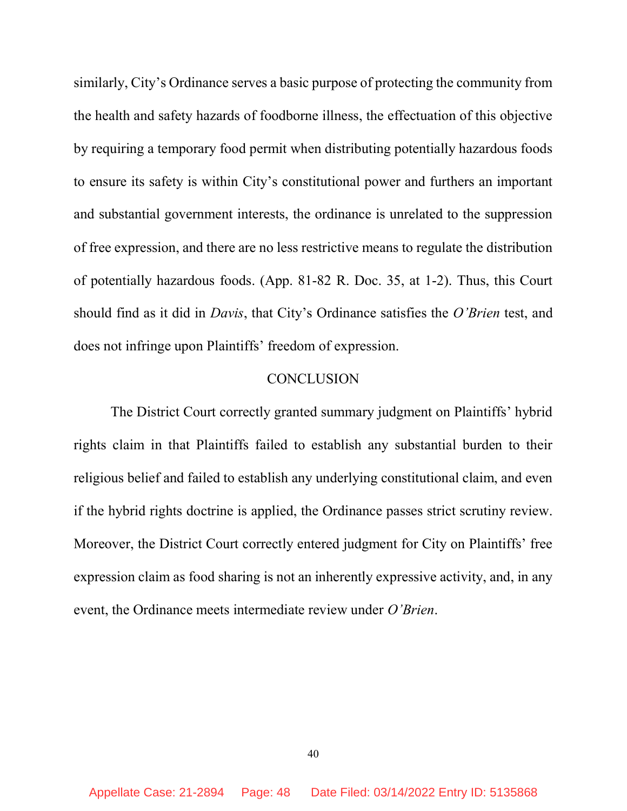similarly, City's Ordinance serves a basic purpose of protecting the community from the health and safety hazards of foodborne illness, the effectuation of this objective by requiring a temporary food permit when distributing potentially hazardous foods to ensure its safety is within City's constitutional power and furthers an important and substantial government interests, the ordinance is unrelated to the suppression of free expression, and there are no less restrictive means to regulate the distribution of potentially hazardous foods. (App. 81-82 R. Doc. 35, at 1-2). Thus, this Court should find as it did in Davis, that City's Ordinance satisfies the O'Brien test, and does not infringe upon Plaintiffs' freedom of expression.

### **CONCLUSION**

The District Court correctly granted summary judgment on Plaintiffs' hybrid rights claim in that Plaintiffs failed to establish any substantial burden to their religious belief and failed to establish any underlying constitutional claim, and even if the hybrid rights doctrine is applied, the Ordinance passes strict scrutiny review. Moreover, the District Court correctly entered judgment for City on Plaintiffs' free expression claim as food sharing is not an inherently expressive activity, and, in any event, the Ordinance meets intermediate review under O'Brien.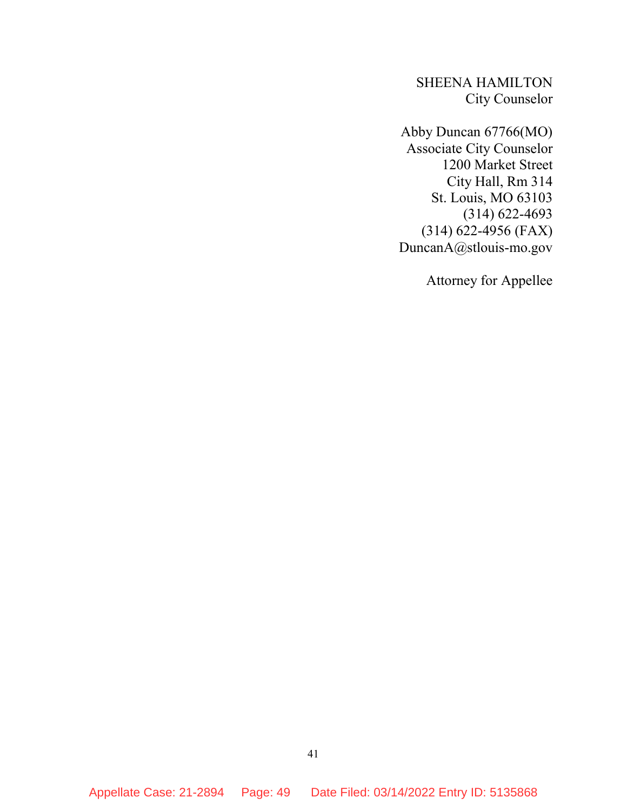SHEENA HAMILTON City Counselor

Abby Duncan 67766(MO) Associate City Counselor 1200 Market Street City Hall, Rm 314 St. Louis, MO 63103 (314) 622-4693 (314) 622-4956 (FAX) DuncanA@stlouis-mo.gov

Attorney for Appellee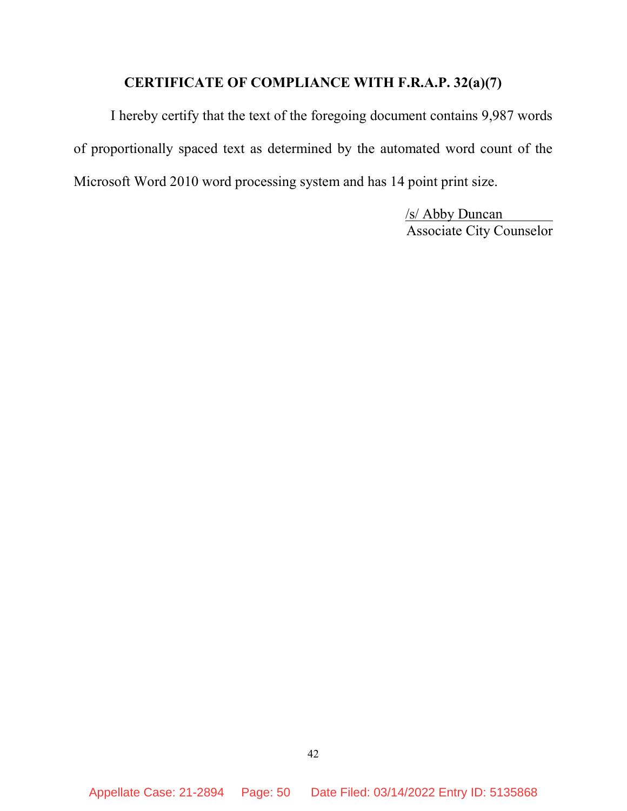# CERTIFICATE OF COMPLIANCE WITH F.R.A.P. 32(a)(7)

I hereby certify that the text of the foregoing document contains 9,987 words of proportionally spaced text as determined by the automated word count of the Microsoft Word 2010 word processing system and has 14 point print size.

> /s/ Abby Duncan Associate City Counselor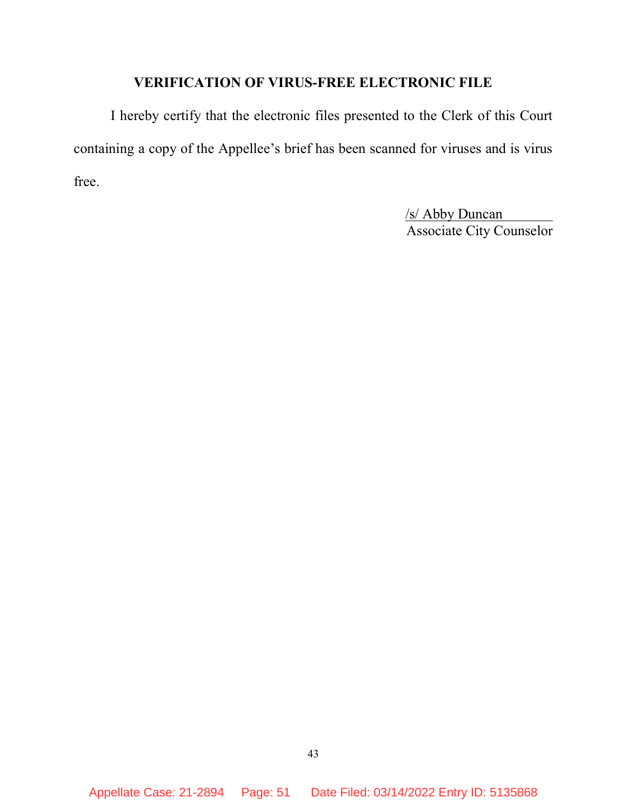### VERIFICATION OF VIRUS-FREE ELECTRONIC FILE

 I hereby certify that the electronic files presented to the Clerk of this Court containing a copy of the Appellee's brief has been scanned for viruses and is virus free.

> /s/ Abby Duncan Associate City Counselor